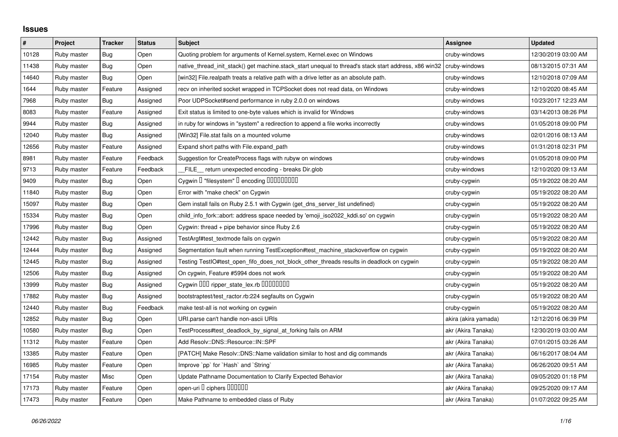## **Issues**

| $\#$  | Project     | <b>Tracker</b> | <b>Status</b> | <b>Subject</b>                                                                                        | <b>Assignee</b>      | <b>Updated</b>      |
|-------|-------------|----------------|---------------|-------------------------------------------------------------------------------------------------------|----------------------|---------------------|
| 10128 | Ruby master | Bug            | Open          | Quoting problem for arguments of Kernel.system, Kernel.exec on Windows                                | cruby-windows        | 12/30/2019 03:00 AM |
| 11438 | Ruby master | Bug            | Open          | native_thread_init_stack() get machine.stack_start unequal to thread's stack start address, x86 win32 | cruby-windows        | 08/13/2015 07:31 AM |
| 14640 | Ruby master | <b>Bug</b>     | Open          | [win32] File.realpath treats a relative path with a drive letter as an absolute path.                 | cruby-windows        | 12/10/2018 07:09 AM |
| 1644  | Ruby master | Feature        | Assigned      | recv on inherited socket wrapped in TCPSocket does not read data, on Windows                          | cruby-windows        | 12/10/2020 08:45 AM |
| 7968  | Ruby master | <b>Bug</b>     | Assigned      | Poor UDPSocket#send performance in ruby 2.0.0 on windows                                              | cruby-windows        | 10/23/2017 12:23 AM |
| 8083  | Ruby master | Feature        | Assigned      | Exit status is limited to one-byte values which is invalid for Windows                                | cruby-windows        | 03/14/2013 08:26 PM |
| 9944  | Ruby master | Bug            | Assigned      | in ruby for windows in "system" a redirection to append a file works incorrectly                      | cruby-windows        | 01/05/2018 09:00 PM |
| 12040 | Ruby master | Bug            | Assigned      | [Win32] File.stat fails on a mounted volume                                                           | cruby-windows        | 02/01/2016 08:13 AM |
| 12656 | Ruby master | Feature        | Assigned      | Expand short paths with File.expand_path                                                              | cruby-windows        | 01/31/2018 02:31 PM |
| 8981  | Ruby master | Feature        | Feedback      | Suggestion for CreateProcess flags with rubyw on windows                                              | cruby-windows        | 01/05/2018 09:00 PM |
| 9713  | Ruby master | Feature        | Feedback      | FILE return unexpected encoding - breaks Dir.glob                                                     | cruby-windows        | 12/10/2020 09:13 AM |
| 9409  | Ruby master | <b>Bug</b>     | Open          | Cygwin I "filesystem" I encoding IIIIIIIIIIII                                                         | cruby-cygwin         | 05/19/2022 08:20 AM |
| 11840 | Ruby master | <b>Bug</b>     | Open          | Error with "make check" on Cygwin                                                                     | cruby-cygwin         | 05/19/2022 08:20 AM |
| 15097 | Ruby master | Bug            | Open          | Gem install fails on Ruby 2.5.1 with Cygwin (get_dns_server_list undefined)                           | cruby-cygwin         | 05/19/2022 08:20 AM |
| 15334 | Ruby master | <b>Bug</b>     | Open          | child_info_fork::abort: address space needed by 'emoji_iso2022_kddi.so' on cygwin                     | cruby-cygwin         | 05/19/2022 08:20 AM |
| 17996 | Ruby master | <b>Bug</b>     | Open          | Cygwin: thread $+$ pipe behavior since Ruby 2.6                                                       | cruby-cygwin         | 05/19/2022 08:20 AM |
| 12442 | Ruby master | Bug            | Assigned      | TestArgf#test_textmode fails on cygwin                                                                | cruby-cygwin         | 05/19/2022 08:20 AM |
| 12444 | Ruby master | <b>Bug</b>     | Assigned      | Segmentation fault when running TestException#test_machine_stackoverflow on cygwin                    | cruby-cygwin         | 05/19/2022 08:20 AM |
| 12445 | Ruby master | <b>Bug</b>     | Assigned      | Testing TestIO#test_open_fifo_does_not_block_other_threads results in deadlock on cygwin              | cruby-cygwin         | 05/19/2022 08:20 AM |
| 2506  | Ruby master | <b>Bug</b>     | Assigned      | On cygwin, Feature #5994 does not work                                                                | cruby-cygwin         | 05/19/2022 08:20 AM |
| 13999 | Ruby master | <b>Bug</b>     | Assigned      | Cygwin DDD ripper_state_lex.rb DDDDDDDD                                                               | cruby-cygwin         | 05/19/2022 08:20 AM |
| 17882 | Ruby master | <b>Bug</b>     | Assigned      | bootstraptest/test ractor.rb:224 segfaults on Cygwin                                                  | cruby-cygwin         | 05/19/2022 08:20 AM |
| 12440 | Ruby master | Bug            | Feedback      | make test-all is not working on cygwin                                                                | cruby-cygwin         | 05/19/2022 08:20 AM |
| 12852 | Ruby master | <b>Bug</b>     | Open          | URI.parse can't handle non-ascii URIs                                                                 | akira (akira yamada) | 12/12/2016 06:39 PM |
| 10580 | Ruby master | Bug            | Open          | TestProcess#test deadlock by signal at forking fails on ARM                                           | akr (Akira Tanaka)   | 12/30/2019 03:00 AM |
| 11312 | Ruby master | Feature        | Open          | Add Resolv::DNS::Resource::IN::SPF                                                                    | akr (Akira Tanaka)   | 07/01/2015 03:26 AM |
| 13385 | Ruby master | Feature        | Open          | [PATCH] Make Resolv::DNS::Name validation similar to host and dig commands                            | akr (Akira Tanaka)   | 06/16/2017 08:04 AM |
| 16985 | Ruby master | Feature        | Open          | Improve `pp` for `Hash` and `String`                                                                  | akr (Akira Tanaka)   | 06/26/2020 09:51 AM |
| 17154 | Ruby master | Misc           | Open          | Update Pathname Documentation to Clarify Expected Behavior                                            | akr (Akira Tanaka)   | 09/05/2020 01:18 PM |
| 17173 | Ruby master | Feature        | Open          | open-uri I ciphers IIIIIII                                                                            | akr (Akira Tanaka)   | 09/25/2020 09:17 AM |
| 17473 | Ruby master | Feature        | Open          | Make Pathname to embedded class of Ruby                                                               | akr (Akira Tanaka)   | 01/07/2022 09:25 AM |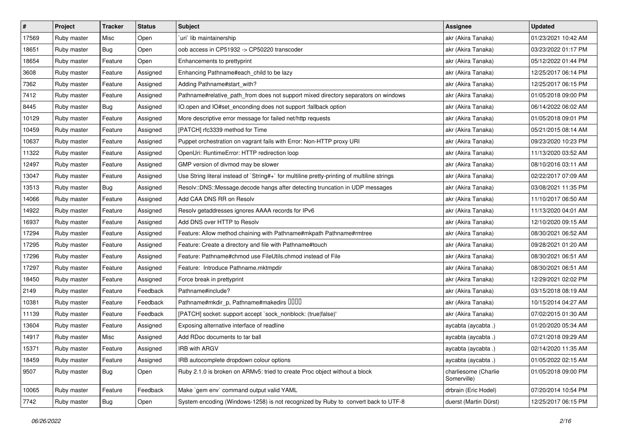| $\sharp$ | Project     | <b>Tracker</b> | <b>Status</b> | <b>Subject</b>                                                                              | <b>Assignee</b>                     | <b>Updated</b>      |
|----------|-------------|----------------|---------------|---------------------------------------------------------------------------------------------|-------------------------------------|---------------------|
| 17569    | Ruby master | Misc           | Open          | uri lib maintainership                                                                      | akr (Akira Tanaka)                  | 01/23/2021 10:42 AM |
| 18651    | Ruby master | <b>Bug</b>     | Open          | oob access in CP51932 -> CP50220 transcoder                                                 | akr (Akira Tanaka)                  | 03/23/2022 01:17 PM |
| 18654    | Ruby master | Feature        | Open          | Enhancements to prettyprint                                                                 | akr (Akira Tanaka)                  | 05/12/2022 01:44 PM |
| 3608     | Ruby master | Feature        | Assigned      | Enhancing Pathname#each_child to be lazy                                                    | akr (Akira Tanaka)                  | 12/25/2017 06:14 PM |
| 7362     | Ruby master | Feature        | Assigned      | Adding Pathname#start_with?                                                                 | akr (Akira Tanaka)                  | 12/25/2017 06:15 PM |
| 7412     | Ruby master | Feature        | Assigned      | Pathname#relative_path_from does not support mixed directory separators on windows          | akr (Akira Tanaka)                  | 01/05/2018 09:00 PM |
| 8445     | Ruby master | <b>Bug</b>     | Assigned      | IO.open and IO#set_enconding does not support :fallback option                              | akr (Akira Tanaka)                  | 06/14/2022 06:02 AM |
| 10129    | Ruby master | Feature        | Assigned      | More descriptive error message for failed net/http requests                                 | akr (Akira Tanaka)                  | 01/05/2018 09:01 PM |
| 10459    | Ruby master | Feature        | Assigned      | [PATCH] rfc3339 method for Time                                                             | akr (Akira Tanaka)                  | 05/21/2015 08:14 AM |
| 10637    | Ruby master | Feature        | Assigned      | Puppet orchestration on vagrant fails with Error: Non-HTTP proxy URI                        | akr (Akira Tanaka)                  | 09/23/2020 10:23 PM |
| 11322    | Ruby master | Feature        | Assigned      | OpenUri: RuntimeError: HTTP redirection loop                                                | akr (Akira Tanaka)                  | 11/13/2020 03:52 AM |
| 12497    | Ruby master | Feature        | Assigned      | GMP version of divmod may be slower                                                         | akr (Akira Tanaka)                  | 08/10/2016 03:11 AM |
| 13047    | Ruby master | Feature        | Assigned      | Use String literal instead of `String#+` for multiline pretty-printing of multiline strings | akr (Akira Tanaka)                  | 02/22/2017 07:09 AM |
| 13513    | Ruby master | <b>Bug</b>     | Assigned      | Resolv::DNS::Message.decode hangs after detecting truncation in UDP messages                | akr (Akira Tanaka)                  | 03/08/2021 11:35 PM |
| 14066    | Ruby master | Feature        | Assigned      | Add CAA DNS RR on Resolv                                                                    | akr (Akira Tanaka)                  | 11/10/2017 06:50 AM |
| 14922    | Ruby master | Feature        | Assigned      | Resolv getaddresses ignores AAAA records for IPv6                                           | akr (Akira Tanaka)                  | 11/13/2020 04:01 AM |
| 16937    | Ruby master | Feature        | Assigned      | Add DNS over HTTP to Resolv                                                                 | akr (Akira Tanaka)                  | 12/10/2020 09:15 AM |
| 17294    | Ruby master | Feature        | Assigned      | Feature: Allow method chaining with Pathname#mkpath Pathname#rmtree                         | akr (Akira Tanaka)                  | 08/30/2021 06:52 AM |
| 17295    | Ruby master | Feature        | Assigned      | Feature: Create a directory and file with Pathname#touch                                    | akr (Akira Tanaka)                  | 09/28/2021 01:20 AM |
| 17296    | Ruby master | Feature        | Assigned      | Feature: Pathname#chmod use FileUtils.chmod instead of File                                 | akr (Akira Tanaka)                  | 08/30/2021 06:51 AM |
| 17297    | Ruby master | Feature        | Assigned      | Feature: Introduce Pathname.mktmpdir                                                        | akr (Akira Tanaka)                  | 08/30/2021 06:51 AM |
| 18450    | Ruby master | Feature        | Assigned      | Force break in prettyprint                                                                  | akr (Akira Tanaka)                  | 12/29/2021 02:02 PM |
| 2149     | Ruby master | Feature        | Feedback      | Pathname#include?                                                                           | akr (Akira Tanaka)                  | 03/15/2018 08:19 AM |
| 10381    | Ruby master | Feature        | Feedback      | Pathname#mkdir_p, Pathname#makedirs DDDD                                                    | akr (Akira Tanaka)                  | 10/15/2014 04:27 AM |
| 11139    | Ruby master | Feature        | Feedback      | [PATCH] socket: support accept `sock_nonblock: (true false)'                                | akr (Akira Tanaka)                  | 07/02/2015 01:30 AM |
| 13604    | Ruby master | Feature        | Assigned      | Exposing alternative interface of readline                                                  | aycabta (aycabta.)                  | 01/20/2020 05:34 AM |
| 14917    | Ruby master | Misc           | Assigned      | Add RDoc documents to tar ball                                                              | aycabta (aycabta .)                 | 07/21/2018 09:29 AM |
| 15371    | Ruby master | Feature        | Assigned      | IRB with ARGV                                                                               | aycabta (aycabta .)                 | 02/14/2020 11:35 AM |
| 18459    | Ruby master | Feature        | Assigned      | IRB autocomplete dropdown colour options                                                    | aycabta (aycabta.)                  | 01/05/2022 02:15 AM |
| 9507     | Ruby master | Bug            | Open          | Ruby 2.1.0 is broken on ARMv5: tried to create Proc object without a block                  | charliesome (Charlie<br>Somerville) | 01/05/2018 09:00 PM |
| 10065    | Ruby master | Feature        | Feedback      | Make `gem env` command output valid YAML                                                    | drbrain (Eric Hodel)                | 07/20/2014 10:54 PM |
| 7742     | Ruby master | <b>Bug</b>     | Open          | System encoding (Windows-1258) is not recognized by Ruby to convert back to UTF-8           | duerst (Martin Dürst)               | 12/25/2017 06:15 PM |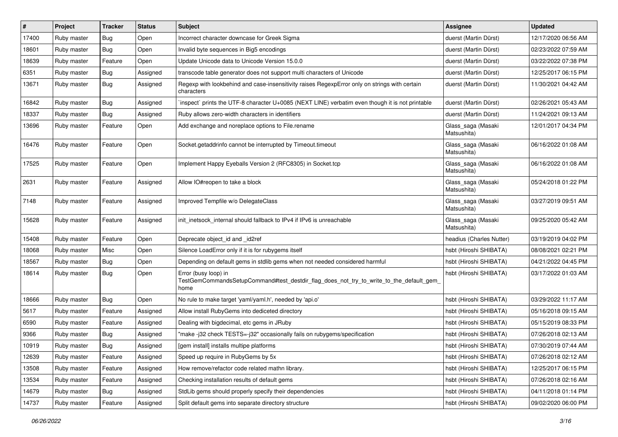| $\vert$ # | Project     | <b>Tracker</b> | <b>Status</b> | Subject                                                                                                                 | <b>Assignee</b>                   | <b>Updated</b>      |
|-----------|-------------|----------------|---------------|-------------------------------------------------------------------------------------------------------------------------|-----------------------------------|---------------------|
| 17400     | Ruby master | <b>Bug</b>     | Open          | Incorrect character downcase for Greek Sigma                                                                            | duerst (Martin Dürst)             | 12/17/2020 06:56 AM |
| 18601     | Ruby master | Bug            | Open          | Invalid byte sequences in Big5 encodings                                                                                | duerst (Martin Dürst)             | 02/23/2022 07:59 AM |
| 18639     | Ruby master | Feature        | Open          | Update Unicode data to Unicode Version 15.0.0                                                                           | duerst (Martin Dürst)             | 03/22/2022 07:38 PM |
| 6351      | Ruby master | <b>Bug</b>     | Assigned      | transcode table generator does not support multi characters of Unicode                                                  | duerst (Martin Dürst)             | 12/25/2017 06:15 PM |
| 13671     | Ruby master | Bug            | Assigned      | Regexp with lookbehind and case-insensitivity raises RegexpError only on strings with certain<br>characters             | duerst (Martin Dürst)             | 11/30/2021 04:42 AM |
| 16842     | Ruby master | Bug            | Assigned      | inspect` prints the UTF-8 character U+0085 (NEXT LINE) verbatim even though it is not printable                         | duerst (Martin Dürst)             | 02/26/2021 05:43 AM |
| 18337     | Ruby master | Bug            | Assigned      | Ruby allows zero-width characters in identifiers                                                                        | duerst (Martin Dürst)             | 11/24/2021 09:13 AM |
| 13696     | Ruby master | Feature        | Open          | Add exchange and noreplace options to File.rename                                                                       | Glass_saga (Masaki<br>Matsushita) | 12/01/2017 04:34 PM |
| 16476     | Ruby master | Feature        | Open          | Socket.getaddrinfo cannot be interrupted by Timeout.timeout                                                             | Glass_saga (Masaki<br>Matsushita) | 06/16/2022 01:08 AM |
| 17525     | Ruby master | Feature        | Open          | Implement Happy Eyeballs Version 2 (RFC8305) in Socket.tcp                                                              | Glass_saga (Masaki<br>Matsushita) | 06/16/2022 01:08 AM |
| 2631      | Ruby master | Feature        | Assigned      | Allow IO#reopen to take a block                                                                                         | Glass_saga (Masaki<br>Matsushita) | 05/24/2018 01:22 PM |
| 7148      | Ruby master | Feature        | Assigned      | Improved Tempfile w/o DelegateClass                                                                                     | Glass_saga (Masaki<br>Matsushita) | 03/27/2019 09:51 AM |
| 15628     | Ruby master | Feature        | Assigned      | init inetsock internal should fallback to IPv4 if IPv6 is unreachable                                                   | Glass_saga (Masaki<br>Matsushita) | 09/25/2020 05:42 AM |
| 15408     | Ruby master | Feature        | Open          | Deprecate object_id and _id2ref                                                                                         | headius (Charles Nutter)          | 03/19/2019 04:02 PM |
| 18068     | Ruby master | Misc           | Open          | Silence LoadError only if it is for rubygems itself                                                                     | hsbt (Hiroshi SHIBATA)            | 08/08/2021 02:21 PM |
| 18567     | Ruby master | Bug            | Open          | Depending on default gems in stdlib gems when not needed considered harmful                                             | hsbt (Hiroshi SHIBATA)            | 04/21/2022 04:45 PM |
| 18614     | Ruby master | Bug            | Open          | Error (busy loop) in<br>TestGemCommandsSetupCommand#test_destdir_flag_does_not_try_to_write_to_the_default_gem_<br>home | hsbt (Hiroshi SHIBATA)            | 03/17/2022 01:03 AM |
| 18666     | Ruby master | Bug            | Open          | No rule to make target 'yaml/yaml.h', needed by 'api.o'                                                                 | hsbt (Hiroshi SHIBATA)            | 03/29/2022 11:17 AM |
| 5617      | Ruby master | Feature        | Assigned      | Allow install RubyGems into dediceted directory                                                                         | hsbt (Hiroshi SHIBATA)            | 05/16/2018 09:15 AM |
| 6590      | Ruby master | Feature        | Assigned      | Dealing with bigdecimal, etc gems in JRuby                                                                              | hsbt (Hiroshi SHIBATA)            | 05/15/2019 08:33 PM |
| 9366      | Ruby master | <b>Bug</b>     | Assigned      | "make-j32 check TESTS=-j32" occasionally fails on rubygems/specification                                                | hsbt (Hiroshi SHIBATA)            | 07/26/2018 02:13 AM |
| 10919     | Ruby master | Bug            | Assigned      | [gem install] installs multipe platforms                                                                                | hsbt (Hiroshi SHIBATA)            | 07/30/2019 07:44 AM |
| 12639     | Ruby master | Feature        | Assigned      | Speed up require in RubyGems by 5x                                                                                      | hsbt (Hiroshi SHIBATA)            | 07/26/2018 02:12 AM |
| 13508     | Ruby master | Feature        | Assigned      | How remove/refactor code related mathn library.                                                                         | hsbt (Hiroshi SHIBATA)            | 12/25/2017 06:15 PM |
| 13534     | Ruby master | Feature        | Assigned      | Checking installation results of default gems                                                                           | hsbt (Hiroshi SHIBATA)            | 07/26/2018 02:16 AM |
| 14679     | Ruby master | Bug            | Assigned      | StdLib gems should properly specify their dependencies                                                                  | hsbt (Hiroshi SHIBATA)            | 04/11/2018 01:14 PM |
| 14737     | Ruby master | Feature        | Assigned      | Split default gems into separate directory structure                                                                    | hsbt (Hiroshi SHIBATA)            | 09/02/2020 06:00 PM |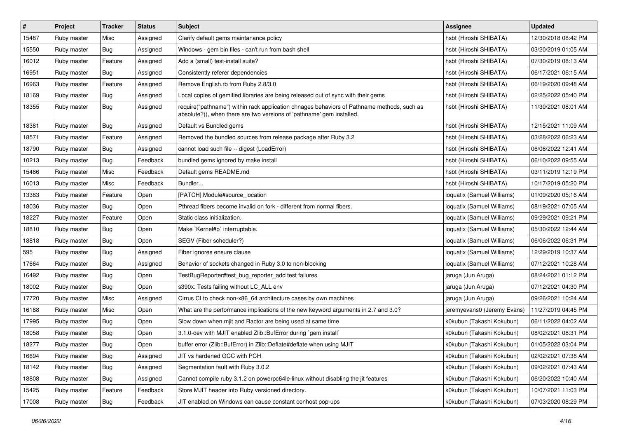| #     | Project     | <b>Tracker</b> | <b>Status</b> | <b>Subject</b>                                                                                                                                                      | <b>Assignee</b>             | <b>Updated</b>      |
|-------|-------------|----------------|---------------|---------------------------------------------------------------------------------------------------------------------------------------------------------------------|-----------------------------|---------------------|
| 15487 | Ruby master | Misc           | Assigned      | Clarify default gems maintanance policy                                                                                                                             | hsbt (Hiroshi SHIBATA)      | 12/30/2018 08:42 PM |
| 15550 | Ruby master | Bug            | Assigned      | Windows - gem bin files - can't run from bash shell                                                                                                                 | hsbt (Hiroshi SHIBATA)      | 03/20/2019 01:05 AM |
| 16012 | Ruby master | Feature        | Assigned      | Add a (small) test-install suite?                                                                                                                                   | hsbt (Hiroshi SHIBATA)      | 07/30/2019 08:13 AM |
| 16951 | Ruby master | <b>Bug</b>     | Assigned      | Consistently referer dependencies                                                                                                                                   | hsbt (Hiroshi SHIBATA)      | 06/17/2021 06:15 AM |
| 16963 | Ruby master | Feature        | Assigned      | Remove English.rb from Ruby 2.8/3.0                                                                                                                                 | hsbt (Hiroshi SHIBATA)      | 06/19/2020 09:48 AM |
| 18169 | Ruby master | Bug            | Assigned      | Local copies of gemified libraries are being released out of sync with their gems                                                                                   | hsbt (Hiroshi SHIBATA)      | 02/25/2022 05:40 PM |
| 18355 | Ruby master | <b>Bug</b>     | Assigned      | require("pathname") within rack application chnages behaviors of Pathname methods, such as<br>absolute?(), when there are two versions of 'pathname' gem installed. | hsbt (Hiroshi SHIBATA)      | 11/30/2021 08:01 AM |
| 18381 | Ruby master | Bug            | Assigned      | Default vs Bundled gems                                                                                                                                             | hsbt (Hiroshi SHIBATA)      | 12/15/2021 11:09 AM |
| 18571 | Ruby master | Feature        | Assigned      | Removed the bundled sources from release package after Ruby 3.2                                                                                                     | hsbt (Hiroshi SHIBATA)      | 03/28/2022 06:23 AM |
| 18790 | Ruby master | Bug            | Assigned      | cannot load such file -- digest (LoadError)                                                                                                                         | hsbt (Hiroshi SHIBATA)      | 06/06/2022 12:41 AM |
| 10213 | Ruby master | Bug            | Feedback      | bundled gems ignored by make install                                                                                                                                | hsbt (Hiroshi SHIBATA)      | 06/10/2022 09:55 AM |
| 15486 | Ruby master | Misc           | Feedback      | Default gems README.md                                                                                                                                              | hsbt (Hiroshi SHIBATA)      | 03/11/2019 12:19 PM |
| 16013 | Ruby master | Misc           | Feedback      | Bundler                                                                                                                                                             | hsbt (Hiroshi SHIBATA)      | 10/17/2019 05:20 PM |
| 13383 | Ruby master | Feature        | Open          | [PATCH] Module#source_location                                                                                                                                      | ioquatix (Samuel Williams)  | 01/09/2020 05:16 AM |
| 18036 | Ruby master | <b>Bug</b>     | Open          | Pthread fibers become invalid on fork - different from normal fibers.                                                                                               | ioquatix (Samuel Williams)  | 08/19/2021 07:05 AM |
| 18227 | Ruby master | Feature        | Open          | Static class initialization.                                                                                                                                        | ioquatix (Samuel Williams)  | 09/29/2021 09:21 PM |
| 18810 | Ruby master | Bug            | Open          | Make `Kernel#p` interruptable.                                                                                                                                      | ioquatix (Samuel Williams)  | 05/30/2022 12:44 AM |
| 18818 | Ruby master | <b>Bug</b>     | Open          | SEGV (Fiber scheduler?)                                                                                                                                             | ioquatix (Samuel Williams)  | 06/06/2022 06:31 PM |
| 595   | Ruby master | Bug            | Assigned      | Fiber ignores ensure clause                                                                                                                                         | ioquatix (Samuel Williams)  | 12/29/2019 10:37 AM |
| 17664 | Ruby master | Bug            | Assigned      | Behavior of sockets changed in Ruby 3.0 to non-blocking                                                                                                             | ioquatix (Samuel Williams)  | 07/12/2021 10:28 AM |
| 16492 | Ruby master | <b>Bug</b>     | Open          | TestBugReporter#test_bug_reporter_add test failures                                                                                                                 | jaruga (Jun Aruga)          | 08/24/2021 01:12 PM |
| 18002 | Ruby master | <b>Bug</b>     | Open          | s390x: Tests failing without LC_ALL env                                                                                                                             | jaruga (Jun Aruga)          | 07/12/2021 04:30 PM |
| 17720 | Ruby master | Misc           | Assigned      | Cirrus CI to check non-x86 64 architecture cases by own machines                                                                                                    | jaruga (Jun Aruga)          | 09/26/2021 10:24 AM |
| 16188 | Ruby master | Misc           | Open          | What are the performance implications of the new keyword arguments in 2.7 and 3.0?                                                                                  | jeremyevans0 (Jeremy Evans) | 11/27/2019 04:45 PM |
| 17995 | Ruby master | Bug            | Open          | Slow down when mjit and Ractor are being used at same time                                                                                                          | k0kubun (Takashi Kokubun)   | 06/11/2022 04:02 AM |
| 18058 | Ruby master | Bug            | Open          | 3.1.0-dev with MJIT enabled Zlib::BufError during `gem install`                                                                                                     | k0kubun (Takashi Kokubun)   | 08/02/2021 08:31 PM |
| 18277 | Ruby master | <b>Bug</b>     | Open          | buffer error (Zlib::BufError) in Zlib::Deflate#deflate when using MJIT                                                                                              | k0kubun (Takashi Kokubun)   | 01/05/2022 03:04 PM |
| 16694 | Ruby master | <b>Bug</b>     | Assigned      | JIT vs hardened GCC with PCH                                                                                                                                        | k0kubun (Takashi Kokubun)   | 02/02/2021 07:38 AM |
| 18142 | Ruby master | <b>Bug</b>     | Assigned      | Segmentation fault with Ruby 3.0.2                                                                                                                                  | k0kubun (Takashi Kokubun)   | 09/02/2021 07:43 AM |
| 18808 | Ruby master | <b>Bug</b>     | Assigned      | Cannot compile ruby 3.1.2 on powerpc64le-linux without disabling the jit features                                                                                   | k0kubun (Takashi Kokubun)   | 06/20/2022 10:40 AM |
| 15425 | Ruby master | Feature        | Feedback      | Store MJIT header into Ruby versioned directory.                                                                                                                    | k0kubun (Takashi Kokubun)   | 10/07/2021 11:03 PM |
| 17008 | Ruby master | <b>Bug</b>     | Feedback      | JIT enabled on Windows can cause constant conhost pop-ups                                                                                                           | k0kubun (Takashi Kokubun)   | 07/03/2020 08:29 PM |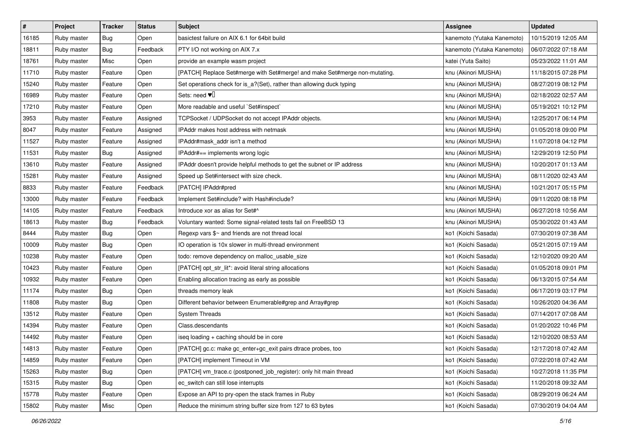| $\pmb{\#}$ | Project     | <b>Tracker</b> | <b>Status</b> | <b>Subject</b>                                                             | Assignee                   | <b>Updated</b>      |
|------------|-------------|----------------|---------------|----------------------------------------------------------------------------|----------------------------|---------------------|
| 16185      | Ruby master | <b>Bug</b>     | Open          | basictest failure on AIX 6.1 for 64bit build                               | kanemoto (Yutaka Kanemoto) | 10/15/2019 12:05 AM |
| 18811      | Ruby master | <b>Bug</b>     | Feedback      | PTY I/O not working on AIX 7.x                                             | kanemoto (Yutaka Kanemoto) | 06/07/2022 07:18 AM |
| 18761      | Ruby master | Misc           | Open          | provide an example wasm project                                            | katei (Yuta Saito)         | 05/23/2022 11:01 AM |
| 11710      | Ruby master | Feature        | Open          | [PATCH] Replace Set#merge with Set#merge! and make Set#merge non-mutating. | knu (Akinori MUSHA)        | 11/18/2015 07:28 PM |
| 15240      | Ruby master | Feature        | Open          | Set operations check for is_a?(Set), rather than allowing duck typing      | knu (Akinori MUSHA)        | 08/27/2019 08:12 PM |
| 16989      | Ruby master | Feature        | Open          | Sets: need $\Psi$                                                          | knu (Akinori MUSHA)        | 02/18/2022 02:57 AM |
| 17210      | Ruby master | Feature        | Open          | More readable and useful `Set#inspect`                                     | knu (Akinori MUSHA)        | 05/19/2021 10:12 PM |
| 3953       | Ruby master | Feature        | Assigned      | TCPSocket / UDPSocket do not accept IPAddr objects.                        | knu (Akinori MUSHA)        | 12/25/2017 06:14 PM |
| 8047       | Ruby master | Feature        | Assigned      | IPAddr makes host address with netmask                                     | knu (Akinori MUSHA)        | 01/05/2018 09:00 PM |
| 11527      | Ruby master | Feature        | Assigned      | IPAddr#mask_addr isn't a method                                            | knu (Akinori MUSHA)        | 11/07/2018 04:12 PM |
| 11531      | Ruby master | Bug            | Assigned      | IPAddr#== implements wrong logic                                           | knu (Akinori MUSHA)        | 12/29/2019 12:50 PM |
| 13610      | Ruby master | Feature        | Assigned      | IPAddr doesn't provide helpful methods to get the subnet or IP address     | knu (Akinori MUSHA)        | 10/20/2017 01:13 AM |
| 15281      | Ruby master | Feature        | Assigned      | Speed up Set#intersect with size check.                                    | knu (Akinori MUSHA)        | 08/11/2020 02:43 AM |
| 8833       | Ruby master | Feature        | Feedback      | [PATCH] IPAddr#pred                                                        | knu (Akinori MUSHA)        | 10/21/2017 05:15 PM |
| 13000      | Ruby master | Feature        | Feedback      | Implement Set#include? with Hash#include?                                  | knu (Akinori MUSHA)        | 09/11/2020 08:18 PM |
| 14105      | Ruby master | Feature        | Feedback      | Introduce xor as alias for Set#^                                           | knu (Akinori MUSHA)        | 06/27/2018 10:56 AM |
| 18613      | Ruby master | <b>Bug</b>     | Feedback      | Voluntary wanted: Some signal-related tests fail on FreeBSD 13             | knu (Akinori MUSHA)        | 05/30/2022 01:43 AM |
| 8444       | Ruby master | Bug            | Open          | Regexp vars \$~ and friends are not thread local                           | ko1 (Koichi Sasada)        | 07/30/2019 07:38 AM |
| 10009      | Ruby master | <b>Bug</b>     | Open          | IO operation is 10x slower in multi-thread environment                     | ko1 (Koichi Sasada)        | 05/21/2015 07:19 AM |
| 10238      | Ruby master | Feature        | Open          | todo: remove dependency on malloc_usable_size                              | ko1 (Koichi Sasada)        | 12/10/2020 09:20 AM |
| 10423      | Ruby master | Feature        | Open          | [PATCH] opt_str_lit*: avoid literal string allocations                     | ko1 (Koichi Sasada)        | 01/05/2018 09:01 PM |
| 10932      | Ruby master | Feature        | Open          | Enabling allocation tracing as early as possible                           | ko1 (Koichi Sasada)        | 06/13/2015 07:54 AM |
| 11174      | Ruby master | <b>Bug</b>     | Open          | threads memory leak                                                        | ko1 (Koichi Sasada)        | 06/17/2019 03:17 PM |
| 11808      | Ruby master | <b>Bug</b>     | Open          | Different behavior between Enumerable#grep and Array#grep                  | ko1 (Koichi Sasada)        | 10/26/2020 04:36 AM |
| 13512      | Ruby master | Feature        | Open          | <b>System Threads</b>                                                      | ko1 (Koichi Sasada)        | 07/14/2017 07:08 AM |
| 14394      | Ruby master | Feature        | Open          | Class.descendants                                                          | ko1 (Koichi Sasada)        | 01/20/2022 10:46 PM |
| 14492      | Ruby master | Feature        | Open          | iseg loading + caching should be in core                                   | ko1 (Koichi Sasada)        | 12/10/2020 08:53 AM |
| 14813      | Ruby master | Feature        | Open          | [PATCH] gc.c: make gc_enter+gc_exit pairs dtrace probes, too               | ko1 (Koichi Sasada)        | 12/17/2018 07:42 AM |
| 14859      | Ruby master | Feature        | Open          | [PATCH] implement Timeout in VM                                            | ko1 (Koichi Sasada)        | 07/22/2018 07:42 AM |
| 15263      | Ruby master | Bug            | Open          | [PATCH] vm_trace.c (postponed_job_register): only hit main thread          | ko1 (Koichi Sasada)        | 10/27/2018 11:35 PM |
| 15315      | Ruby master | <b>Bug</b>     | Open          | ec_switch can still lose interrupts                                        | ko1 (Koichi Sasada)        | 11/20/2018 09:32 AM |
| 15778      | Ruby master | Feature        | Open          | Expose an API to pry-open the stack frames in Ruby                         | ko1 (Koichi Sasada)        | 08/29/2019 06:24 AM |
| 15802      | Ruby master | Misc           | Open          | Reduce the minimum string buffer size from 127 to 63 bytes                 | ko1 (Koichi Sasada)        | 07/30/2019 04:04 AM |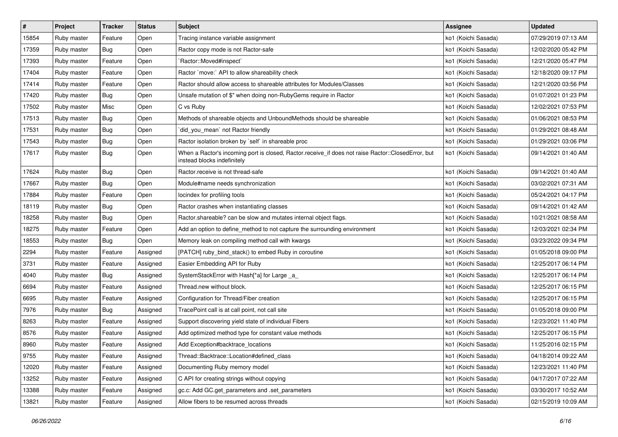| $\sharp$ | Project     | <b>Tracker</b> | <b>Status</b> | Subject                                                                                                                           | <b>Assignee</b>     | <b>Updated</b>      |
|----------|-------------|----------------|---------------|-----------------------------------------------------------------------------------------------------------------------------------|---------------------|---------------------|
| 15854    | Ruby master | Feature        | Open          | Tracing instance variable assignment                                                                                              | ko1 (Koichi Sasada) | 07/29/2019 07:13 AM |
| 17359    | Ruby master | <b>Bug</b>     | Open          | Ractor copy mode is not Ractor-safe                                                                                               | ko1 (Koichi Sasada) | 12/02/2020 05:42 PM |
| 17393    | Ruby master | Feature        | Open          | 'Ractor::Moved#inspect'                                                                                                           | ko1 (Koichi Sasada) | 12/21/2020 05:47 PM |
| 17404    | Ruby master | Feature        | Open          | Ractor `move:` API to allow shareability check                                                                                    | ko1 (Koichi Sasada) | 12/18/2020 09:17 PM |
| 17414    | Ruby master | Feature        | Open          | Ractor should allow access to shareable attributes for Modules/Classes                                                            | ko1 (Koichi Sasada) | 12/21/2020 03:56 PM |
| 17420    | Ruby master | <b>Bug</b>     | Open          | Unsafe mutation of \$" when doing non-RubyGems require in Ractor                                                                  | ko1 (Koichi Sasada) | 01/07/2021 01:23 PM |
| 17502    | Ruby master | Misc           | Open          | C vs Ruby                                                                                                                         | ko1 (Koichi Sasada) | 12/02/2021 07:53 PM |
| 17513    | Ruby master | Bug            | Open          | Methods of shareable objects and UnboundMethods should be shareable                                                               | ko1 (Koichi Sasada) | 01/06/2021 08:53 PM |
| 17531    | Ruby master | <b>Bug</b>     | Open          | did_you_mean` not Ractor friendly                                                                                                 | ko1 (Koichi Sasada) | 01/29/2021 08:48 AM |
| 17543    | Ruby master | Bug            | Open          | Ractor isolation broken by `self` in shareable proc                                                                               | ko1 (Koichi Sasada) | 01/29/2021 03:06 PM |
| 17617    | Ruby master | <b>Bug</b>     | Open          | When a Ractor's incoming port is closed, Ractor.receive_if does not raise Ractor::ClosedError, but<br>instead blocks indefinitely | ko1 (Koichi Sasada) | 09/14/2021 01:40 AM |
| 17624    | Ruby master | Bug            | Open          | Ractor.receive is not thread-safe                                                                                                 | ko1 (Koichi Sasada) | 09/14/2021 01:40 AM |
| 17667    | Ruby master | <b>Bug</b>     | Open          | Module#name needs synchronization                                                                                                 | ko1 (Koichi Sasada) | 03/02/2021 07:31 AM |
| 17884    | Ruby master | Feature        | Open          | locindex for profiling tools                                                                                                      | ko1 (Koichi Sasada) | 05/24/2021 04:17 PM |
| 18119    | Ruby master | Bug            | Open          | Ractor crashes when instantiating classes                                                                                         | ko1 (Koichi Sasada) | 09/14/2021 01:42 AM |
| 18258    | Ruby master | <b>Bug</b>     | Open          | Ractor shareable? can be slow and mutates internal object flags.                                                                  | ko1 (Koichi Sasada) | 10/21/2021 08:58 AM |
| 18275    | Ruby master | Feature        | Open          | Add an option to define_method to not capture the surrounding environment                                                         | ko1 (Koichi Sasada) | 12/03/2021 02:34 PM |
| 18553    | Ruby master | <b>Bug</b>     | Open          | Memory leak on compiling method call with kwargs                                                                                  | ko1 (Koichi Sasada) | 03/23/2022 09:34 PM |
| 2294     | Ruby master | Feature        | Assigned      | [PATCH] ruby_bind_stack() to embed Ruby in coroutine                                                                              | ko1 (Koichi Sasada) | 01/05/2018 09:00 PM |
| 3731     | Ruby master | Feature        | Assigned      | Easier Embedding API for Ruby                                                                                                     | ko1 (Koichi Sasada) | 12/25/2017 06:14 PM |
| 4040     | Ruby master | Bug            | Assigned      | SystemStackError with Hash[*a] for Large _a_                                                                                      | ko1 (Koichi Sasada) | 12/25/2017 06:14 PM |
| 6694     | Ruby master | Feature        | Assigned      | Thread.new without block.                                                                                                         | ko1 (Koichi Sasada) | 12/25/2017 06:15 PM |
| 6695     | Ruby master | Feature        | Assigned      | Configuration for Thread/Fiber creation                                                                                           | ko1 (Koichi Sasada) | 12/25/2017 06:15 PM |
| 7976     | Ruby master | <b>Bug</b>     | Assigned      | TracePoint call is at call point, not call site                                                                                   | ko1 (Koichi Sasada) | 01/05/2018 09:00 PM |
| 8263     | Ruby master | Feature        | Assigned      | Support discovering yield state of individual Fibers                                                                              | ko1 (Koichi Sasada) | 12/23/2021 11:40 PM |
| 8576     | Ruby master | Feature        | Assigned      | Add optimized method type for constant value methods                                                                              | ko1 (Koichi Sasada) | 12/25/2017 06:15 PM |
| 8960     | Ruby master | Feature        | Assigned      | Add Exception#backtrace_locations                                                                                                 | ko1 (Koichi Sasada) | 11/25/2016 02:15 PM |
| 9755     | Ruby master | Feature        | Assigned      | Thread::Backtrace::Location#defined class                                                                                         | ko1 (Koichi Sasada) | 04/18/2014 09:22 AM |
| 12020    | Ruby master | Feature        | Assigned      | Documenting Ruby memory model                                                                                                     | ko1 (Koichi Sasada) | 12/23/2021 11:40 PM |
| 13252    | Ruby master | Feature        | Assigned      | C API for creating strings without copying                                                                                        | ko1 (Koichi Sasada) | 04/17/2017 07:22 AM |
| 13388    | Ruby master | Feature        | Assigned      | gc.c: Add GC.get_parameters and .set_parameters                                                                                   | ko1 (Koichi Sasada) | 03/30/2017 10:52 AM |
| 13821    | Ruby master | Feature        | Assigned      | Allow fibers to be resumed across threads                                                                                         | ko1 (Koichi Sasada) | 02/15/2019 10:09 AM |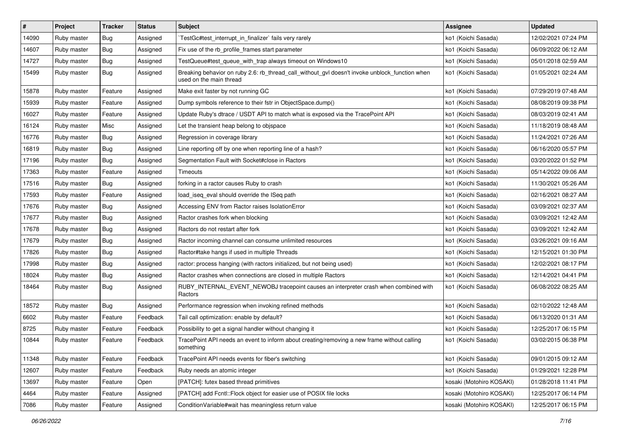| $\sharp$ | Project     | <b>Tracker</b> | <b>Status</b> | Subject                                                                                                                   | <b>Assignee</b>          | <b>Updated</b>      |
|----------|-------------|----------------|---------------|---------------------------------------------------------------------------------------------------------------------------|--------------------------|---------------------|
| 14090    | Ruby master | <b>Bug</b>     | Assigned      | TestGc#test_interrupt_in_finalizer` fails very rarely                                                                     | ko1 (Koichi Sasada)      | 12/02/2021 07:24 PM |
| 14607    | Ruby master | Bug            | Assigned      | Fix use of the rb_profile_frames start parameter                                                                          | ko1 (Koichi Sasada)      | 06/09/2022 06:12 AM |
| 14727    | Ruby master | Bug            | Assigned      | TestQueue#test queue with trap always timeout on Windows10                                                                | ko1 (Koichi Sasada)      | 05/01/2018 02:59 AM |
| 15499    | Ruby master | <b>Bug</b>     | Assigned      | Breaking behavior on ruby 2.6: rb_thread_call_without_gvl doesn't invoke unblock_function when<br>used on the main thread | ko1 (Koichi Sasada)      | 01/05/2021 02:24 AM |
| 15878    | Ruby master | Feature        | Assigned      | Make exit faster by not running GC                                                                                        | ko1 (Koichi Sasada)      | 07/29/2019 07:48 AM |
| 15939    | Ruby master | Feature        | Assigned      | Dump symbols reference to their fstr in ObjectSpace.dump()                                                                | ko1 (Koichi Sasada)      | 08/08/2019 09:38 PM |
| 16027    | Ruby master | Feature        | Assigned      | Update Ruby's dtrace / USDT API to match what is exposed via the TracePoint API                                           | ko1 (Koichi Sasada)      | 08/03/2019 02:41 AM |
| 16124    | Ruby master | Misc           | Assigned      | Let the transient heap belong to objspace                                                                                 | ko1 (Koichi Sasada)      | 11/18/2019 08:48 AM |
| 16776    | Ruby master | Bug            | Assigned      | Regression in coverage library                                                                                            | ko1 (Koichi Sasada)      | 11/24/2021 07:26 AM |
| 16819    | Ruby master | <b>Bug</b>     | Assigned      | Line reporting off by one when reporting line of a hash?                                                                  | ko1 (Koichi Sasada)      | 06/16/2020 05:57 PM |
| 17196    | Ruby master | <b>Bug</b>     | Assigned      | Segmentation Fault with Socket#close in Ractors                                                                           | ko1 (Koichi Sasada)      | 03/20/2022 01:52 PM |
| 17363    | Ruby master | Feature        | Assigned      | Timeouts                                                                                                                  | ko1 (Koichi Sasada)      | 05/14/2022 09:06 AM |
| 17516    | Ruby master | Bug            | Assigned      | forking in a ractor causes Ruby to crash                                                                                  | ko1 (Koichi Sasada)      | 11/30/2021 05:26 AM |
| 17593    | Ruby master | Feature        | Assigned      | load_iseq_eval should override the ISeq path                                                                              | ko1 (Koichi Sasada)      | 02/16/2021 08:27 AM |
| 17676    | Ruby master | Bug            | Assigned      | Accessing ENV from Ractor raises IsolationError                                                                           | ko1 (Koichi Sasada)      | 03/09/2021 02:37 AM |
| 17677    | Ruby master | <b>Bug</b>     | Assigned      | Ractor crashes fork when blocking                                                                                         | ko1 (Koichi Sasada)      | 03/09/2021 12:42 AM |
| 17678    | Ruby master | Bug            | Assigned      | Ractors do not restart after fork                                                                                         | ko1 (Koichi Sasada)      | 03/09/2021 12:42 AM |
| 17679    | Ruby master | <b>Bug</b>     | Assigned      | Ractor incoming channel can consume unlimited resources                                                                   | ko1 (Koichi Sasada)      | 03/26/2021 09:16 AM |
| 17826    | Ruby master | Bug            | Assigned      | Ractor#take hangs if used in multiple Threads                                                                             | ko1 (Koichi Sasada)      | 12/15/2021 01:30 PM |
| 17998    | Ruby master | Bug            | Assigned      | ractor: process hanging (with ractors initialized, but not being used)                                                    | ko1 (Koichi Sasada)      | 12/02/2021 08:17 PM |
| 18024    | Ruby master | <b>Bug</b>     | Assigned      | Ractor crashes when connections are closed in multiple Ractors                                                            | ko1 (Koichi Sasada)      | 12/14/2021 04:41 PM |
| 18464    | Ruby master | Bug            | Assigned      | RUBY_INTERNAL_EVENT_NEWOBJ tracepoint causes an interpreter crash when combined with<br>Ractors                           | ko1 (Koichi Sasada)      | 06/08/2022 08:25 AM |
| 18572    | Ruby master | Bug            | Assigned      | Performance regression when invoking refined methods                                                                      | ko1 (Koichi Sasada)      | 02/10/2022 12:48 AM |
| 6602     | Ruby master | Feature        | Feedback      | Tail call optimization: enable by default?                                                                                | ko1 (Koichi Sasada)      | 06/13/2020 01:31 AM |
| 8725     | Ruby master | Feature        | Feedback      | Possibility to get a signal handler without changing it                                                                   | ko1 (Koichi Sasada)      | 12/25/2017 06:15 PM |
| 10844    | Ruby master | Feature        | Feedback      | TracePoint API needs an event to inform about creating/removing a new frame without calling<br>something                  | ko1 (Koichi Sasada)      | 03/02/2015 06:38 PM |
| 11348    | Ruby master | Feature        | Feedback      | TracePoint API needs events for fiber's switching                                                                         | ko1 (Koichi Sasada)      | 09/01/2015 09:12 AM |
| 12607    | Ruby master | Feature        | Feedback      | Ruby needs an atomic integer                                                                                              | ko1 (Koichi Sasada)      | 01/29/2021 12:28 PM |
| 13697    | Ruby master | Feature        | Open          | [PATCH]: futex based thread primitives                                                                                    | kosaki (Motohiro KOSAKI) | 01/28/2018 11:41 PM |
| 4464     | Ruby master | Feature        | Assigned      | [PATCH] add Fcntl::Flock object for easier use of POSIX file locks                                                        | kosaki (Motohiro KOSAKI) | 12/25/2017 06:14 PM |
| 7086     | Ruby master | Feature        | Assigned      | ConditionVariable#wait has meaningless return value                                                                       | kosaki (Motohiro KOSAKI) | 12/25/2017 06:15 PM |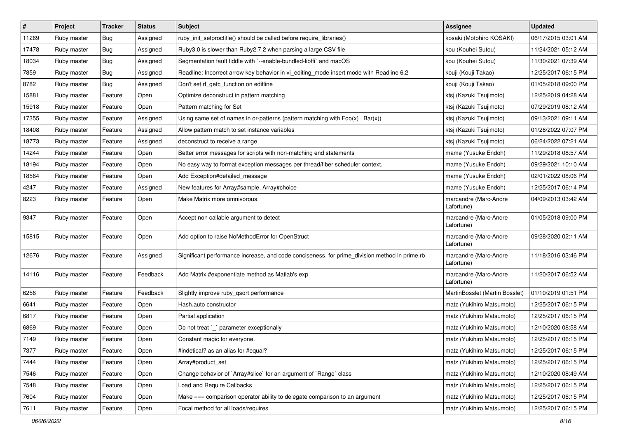| #     | Project     | <b>Tracker</b> | <b>Status</b> | Subject                                                                                       | <b>Assignee</b>                     | <b>Updated</b>      |
|-------|-------------|----------------|---------------|-----------------------------------------------------------------------------------------------|-------------------------------------|---------------------|
| 11269 | Ruby master | <b>Bug</b>     | Assigned      | ruby_init_setproctitle() should be called before require_libraries()                          | kosaki (Motohiro KOSAKI)            | 06/17/2015 03:01 AM |
| 17478 | Ruby master | <b>Bug</b>     | Assigned      | Ruby3.0 is slower than Ruby2.7.2 when parsing a large CSV file                                | kou (Kouhei Sutou)                  | 11/24/2021 05:12 AM |
| 18034 | Ruby master | <b>Bug</b>     | Assigned      | Segmentation fault fiddle with `--enable-bundled-libffi` and macOS                            | kou (Kouhei Sutou)                  | 11/30/2021 07:39 AM |
| 7859  | Ruby master | <b>Bug</b>     | Assigned      | Readline: Incorrect arrow key behavior in vi_editing_mode insert mode with Readline 6.2       | kouji (Kouji Takao)                 | 12/25/2017 06:15 PM |
| 8782  | Ruby master | <b>Bug</b>     | Assigned      | Don't set rl_getc_function on editline                                                        | kouji (Kouji Takao)                 | 01/05/2018 09:00 PM |
| 15881 | Ruby master | Feature        | Open          | Optimize deconstruct in pattern matching                                                      | ktsj (Kazuki Tsujimoto)             | 12/25/2019 04:28 AM |
| 15918 | Ruby master | Feature        | Open          | Pattern matching for Set                                                                      | ktsj (Kazuki Tsujimoto)             | 07/29/2019 08:12 AM |
| 17355 | Ruby master | Feature        | Assigned      | Using same set of names in or-patterns (pattern matching with $Foo(x)   Bar(x)$ )             | ktsj (Kazuki Tsujimoto)             | 09/13/2021 09:11 AM |
| 18408 | Ruby master | Feature        | Assigned      | Allow pattern match to set instance variables                                                 | ktsj (Kazuki Tsujimoto)             | 01/26/2022 07:07 PM |
| 18773 | Ruby master | Feature        | Assigned      | deconstruct to receive a range                                                                | ktsj (Kazuki Tsujimoto)             | 06/24/2022 07:21 AM |
| 14244 | Ruby master | Feature        | Open          | Better error messages for scripts with non-matching end statements                            | mame (Yusuke Endoh)                 | 11/29/2018 08:57 AM |
| 18194 | Ruby master | Feature        | Open          | No easy way to format exception messages per thread/fiber scheduler context.                  | mame (Yusuke Endoh)                 | 09/29/2021 10:10 AM |
| 18564 | Ruby master | Feature        | Open          | Add Exception#detailed_message                                                                | mame (Yusuke Endoh)                 | 02/01/2022 08:06 PM |
| 4247  | Ruby master | Feature        | Assigned      | New features for Array#sample, Array#choice                                                   | mame (Yusuke Endoh)                 | 12/25/2017 06:14 PM |
| 8223  | Ruby master | Feature        | Open          | Make Matrix more omnivorous.                                                                  | marcandre (Marc-Andre<br>Lafortune) | 04/09/2013 03:42 AM |
| 9347  | Ruby master | Feature        | Open          | Accept non callable argument to detect                                                        | marcandre (Marc-Andre<br>Lafortune) | 01/05/2018 09:00 PM |
| 15815 | Ruby master | Feature        | Open          | Add option to raise NoMethodError for OpenStruct                                              | marcandre (Marc-Andre<br>Lafortune) | 09/28/2020 02:11 AM |
| 12676 | Ruby master | Feature        | Assigned      | Significant performance increase, and code conciseness, for prime_division method in prime.rb | marcandre (Marc-Andre<br>Lafortune) | 11/18/2016 03:46 PM |
| 14116 | Ruby master | Feature        | Feedback      | Add Matrix #exponentiate method as Matlab's exp                                               | marcandre (Marc-Andre<br>Lafortune) | 11/20/2017 06:52 AM |
| 6256  | Ruby master | Feature        | Feedback      | Slightly improve ruby_qsort performance                                                       | MartinBosslet (Martin Bosslet)      | 01/10/2019 01:51 PM |
| 6641  | Ruby master | Feature        | Open          | Hash.auto constructor                                                                         | matz (Yukihiro Matsumoto)           | 12/25/2017 06:15 PM |
| 6817  | Ruby master | Feature        | Open          | Partial application                                                                           | matz (Yukihiro Matsumoto)           | 12/25/2017 06:15 PM |
| 6869  | Ruby master | Feature        | Open          | Do not treat `_` parameter exceptionally                                                      | matz (Yukihiro Matsumoto)           | 12/10/2020 08:58 AM |
| 7149  | Ruby master | Feature        | Open          | Constant magic for everyone.                                                                  | matz (Yukihiro Matsumoto)           | 12/25/2017 06:15 PM |
| 7377  | Ruby master | Feature        | Open          | #indetical? as an alias for #equal?                                                           | matz (Yukihiro Matsumoto)           | 12/25/2017 06:15 PM |
| 7444  | Ruby master | Feature        | Open          | Array#product_set                                                                             | matz (Yukihiro Matsumoto)           | 12/25/2017 06:15 PM |
| 7546  | Ruby master | Feature        | Open          | Change behavior of `Array#slice` for an argument of `Range` class                             | matz (Yukihiro Matsumoto)           | 12/10/2020 08:49 AM |
| 7548  | Ruby master | Feature        | Open          | Load and Require Callbacks                                                                    | matz (Yukihiro Matsumoto)           | 12/25/2017 06:15 PM |
| 7604  | Ruby master | Feature        | Open          | Make === comparison operator ability to delegate comparison to an argument                    | matz (Yukihiro Matsumoto)           | 12/25/2017 06:15 PM |
| 7611  | Ruby master | Feature        | Open          | Focal method for all loads/requires                                                           | matz (Yukihiro Matsumoto)           | 12/25/2017 06:15 PM |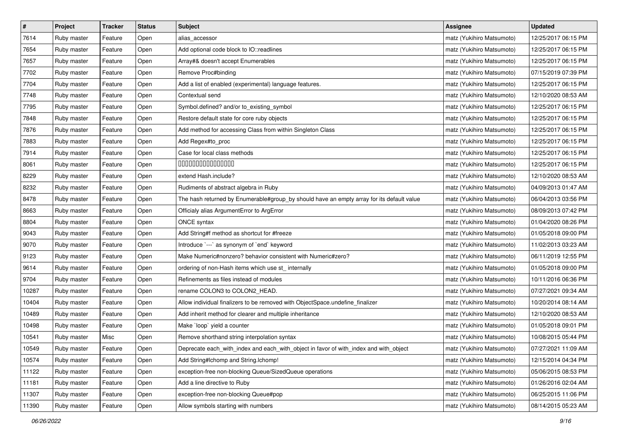| $\pmb{\#}$ | Project     | <b>Tracker</b> | <b>Status</b> | <b>Subject</b>                                                                            | <b>Assignee</b>           | <b>Updated</b>      |
|------------|-------------|----------------|---------------|-------------------------------------------------------------------------------------------|---------------------------|---------------------|
| 7614       | Ruby master | Feature        | Open          | alias accessor                                                                            | matz (Yukihiro Matsumoto) | 12/25/2017 06:15 PM |
| 7654       | Ruby master | Feature        | Open          | Add optional code block to IO::readlines                                                  | matz (Yukihiro Matsumoto) | 12/25/2017 06:15 PM |
| 7657       | Ruby master | Feature        | Open          | Array#& doesn't accept Enumerables                                                        | matz (Yukihiro Matsumoto) | 12/25/2017 06:15 PM |
| 7702       | Ruby master | Feature        | Open          | Remove Proc#binding                                                                       | matz (Yukihiro Matsumoto) | 07/15/2019 07:39 PM |
| 7704       | Ruby master | Feature        | Open          | Add a list of enabled (experimental) language features.                                   | matz (Yukihiro Matsumoto) | 12/25/2017 06:15 PM |
| 7748       | Ruby master | Feature        | Open          | Contextual send                                                                           | matz (Yukihiro Matsumoto) | 12/10/2020 08:53 AM |
| 7795       | Ruby master | Feature        | Open          | Symbol.defined? and/or to_existing_symbol                                                 | matz (Yukihiro Matsumoto) | 12/25/2017 06:15 PM |
| 7848       | Ruby master | Feature        | Open          | Restore default state for core ruby objects                                               | matz (Yukihiro Matsumoto) | 12/25/2017 06:15 PM |
| 7876       | Ruby master | Feature        | Open          | Add method for accessing Class from within Singleton Class                                | matz (Yukihiro Matsumoto) | 12/25/2017 06:15 PM |
| 7883       | Ruby master | Feature        | Open          | Add Regex#to_proc                                                                         | matz (Yukihiro Matsumoto) | 12/25/2017 06:15 PM |
| 7914       | Ruby master | Feature        | Open          | Case for local class methods                                                              | matz (Yukihiro Matsumoto) | 12/25/2017 06:15 PM |
| 8061       | Ruby master | Feature        | Open          | 000000000000000                                                                           | matz (Yukihiro Matsumoto) | 12/25/2017 06:15 PM |
| 8229       | Ruby master | Feature        | Open          | extend Hash.include?                                                                      | matz (Yukihiro Matsumoto) | 12/10/2020 08:53 AM |
| 8232       | Ruby master | Feature        | Open          | Rudiments of abstract algebra in Ruby                                                     | matz (Yukihiro Matsumoto) | 04/09/2013 01:47 AM |
| 8478       | Ruby master | Feature        | Open          | The hash returned by Enumerable#group_by should have an empty array for its default value | matz (Yukihiro Matsumoto) | 06/04/2013 03:56 PM |
| 8663       | Ruby master | Feature        | Open          | Officialy alias ArgumentError to ArgError                                                 | matz (Yukihiro Matsumoto) | 08/09/2013 07:42 PM |
| 8804       | Ruby master | Feature        | Open          | ONCE syntax                                                                               | matz (Yukihiro Matsumoto) | 01/04/2020 08:26 PM |
| 9043       | Ruby master | Feature        | Open          | Add String#f method as shortcut for #freeze                                               | matz (Yukihiro Matsumoto) | 01/05/2018 09:00 PM |
| 9070       | Ruby master | Feature        | Open          | Introduce `---` as synonym of `end` keyword                                               | matz (Yukihiro Matsumoto) | 11/02/2013 03:23 AM |
| 9123       | Ruby master | Feature        | Open          | Make Numeric#nonzero? behavior consistent with Numeric#zero?                              | matz (Yukihiro Matsumoto) | 06/11/2019 12:55 PM |
| 9614       | Ruby master | Feature        | Open          | ordering of non-Hash items which use st_internally                                        | matz (Yukihiro Matsumoto) | 01/05/2018 09:00 PM |
| 9704       | Ruby master | Feature        | Open          | Refinements as files instead of modules                                                   | matz (Yukihiro Matsumoto) | 10/11/2016 06:36 PM |
| 10287      | Ruby master | Feature        | Open          | rename COLON3 to COLON2_HEAD.                                                             | matz (Yukihiro Matsumoto) | 07/27/2021 09:34 AM |
| 10404      | Ruby master | Feature        | Open          | Allow individual finalizers to be removed with ObjectSpace.undefine_finalizer             | matz (Yukihiro Matsumoto) | 10/20/2014 08:14 AM |
| 10489      | Ruby master | Feature        | Open          | Add inherit method for clearer and multiple inheritance                                   | matz (Yukihiro Matsumoto) | 12/10/2020 08:53 AM |
| 10498      | Ruby master | Feature        | Open          | Make `loop` yield a counter                                                               | matz (Yukihiro Matsumoto) | 01/05/2018 09:01 PM |
| 10541      | Ruby master | Misc           | Open          | Remove shorthand string interpolation syntax                                              | matz (Yukihiro Matsumoto) | 10/08/2015 05:44 PM |
| 10549      | Ruby master | Feature        | Open          | Deprecate each_with_index and each_with_object in favor of with_index and with_object     | matz (Yukihiro Matsumoto) | 07/27/2021 11:09 AM |
| 10574      | Ruby master | Feature        | Open          | Add String#Ichomp and String.Ichomp!                                                      | matz (Yukihiro Matsumoto) | 12/15/2014 04:34 PM |
| 11122      | Ruby master | Feature        | Open          | exception-free non-blocking Queue/SizedQueue operations                                   | matz (Yukihiro Matsumoto) | 05/06/2015 08:53 PM |
| 11181      | Ruby master | Feature        | Open          | Add a line directive to Ruby                                                              | matz (Yukihiro Matsumoto) | 01/26/2016 02:04 AM |
| 11307      | Ruby master | Feature        | Open          | exception-free non-blocking Queue#pop                                                     | matz (Yukihiro Matsumoto) | 06/25/2015 11:06 PM |
| 11390      | Ruby master | Feature        | Open          | Allow symbols starting with numbers                                                       | matz (Yukihiro Matsumoto) | 08/14/2015 05:23 AM |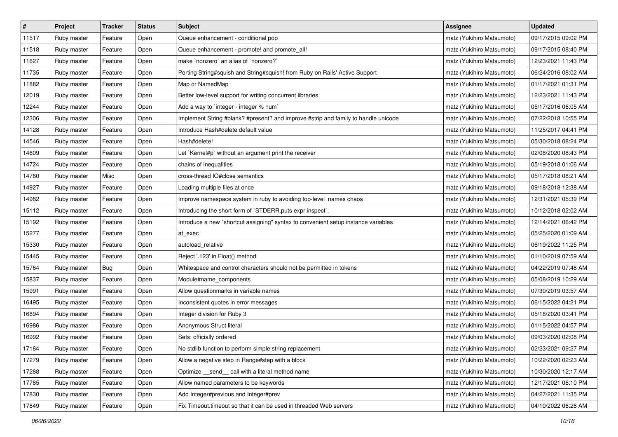| $\sharp$ | Project     | <b>Tracker</b> | <b>Status</b> | <b>Subject</b>                                                                     | <b>Assignee</b>           | <b>Updated</b>      |
|----------|-------------|----------------|---------------|------------------------------------------------------------------------------------|---------------------------|---------------------|
| 11517    | Ruby master | Feature        | Open          | Queue enhancement - conditional pop                                                | matz (Yukihiro Matsumoto) | 09/17/2015 09:02 PM |
| 11518    | Ruby master | Feature        | Open          | Queue enhancement - promote! and promote_all!                                      | matz (Yukihiro Matsumoto) | 09/17/2015 08:40 PM |
| 11627    | Ruby master | Feature        | Open          | make `nonzero` an alias of `nonzero?`                                              | matz (Yukihiro Matsumoto) | 12/23/2021 11:43 PM |
| 11735    | Ruby master | Feature        | Open          | Porting String#squish and String#squish! from Ruby on Rails' Active Support        | matz (Yukihiro Matsumoto) | 06/24/2016 08:02 AM |
| 11882    | Ruby master | Feature        | Open          | Map or NamedMap                                                                    | matz (Yukihiro Matsumoto) | 01/17/2021 01:31 PM |
| 12019    | Ruby master | Feature        | Open          | Better low-level support for writing concurrent libraries                          | matz (Yukihiro Matsumoto) | 12/23/2021 11:43 PM |
| 12244    | Ruby master | Feature        | Open          | Add a way to `integer - integer % num`                                             | matz (Yukihiro Matsumoto) | 05/17/2016 06:05 AM |
| 12306    | Ruby master | Feature        | Open          | Implement String #blank? #present? and improve #strip and family to handle unicode | matz (Yukihiro Matsumoto) | 07/22/2018 10:55 PM |
| 14128    | Ruby master | Feature        | Open          | Introduce Hash#delete default value                                                | matz (Yukihiro Matsumoto) | 11/25/2017 04:41 PM |
| 14546    | Ruby master | Feature        | Open          | Hash#delete!                                                                       | matz (Yukihiro Matsumoto) | 05/30/2018 08:24 PM |
| 14609    | Ruby master | Feature        | Open          | Let `Kernel#p` without an argument print the receiver                              | matz (Yukihiro Matsumoto) | 02/08/2020 08:43 PM |
| 14724    | Ruby master | Feature        | Open          | chains of inequalities                                                             | matz (Yukihiro Matsumoto) | 05/19/2018 01:06 AM |
| 14760    | Ruby master | Misc           | Open          | cross-thread IO#close semantics                                                    | matz (Yukihiro Matsumoto) | 05/17/2018 08:21 AM |
| 14927    | Ruby master | Feature        | Open          | Loading multiple files at once                                                     | matz (Yukihiro Matsumoto) | 09/18/2018 12:38 AM |
| 14982    | Ruby master | Feature        | Open          | Improve namespace system in ruby to avoiding top-level names chaos                 | matz (Yukihiro Matsumoto) | 12/31/2021 05:39 PM |
| 15112    | Ruby master | Feature        | Open          | Introducing the short form of `STDERR.puts expr.inspect`.                          | matz (Yukihiro Matsumoto) | 10/12/2018 02:02 AM |
| 15192    | Ruby master | Feature        | Open          | Introduce a new "shortcut assigning" syntax to convenient setup instance variables | matz (Yukihiro Matsumoto) | 12/14/2021 06:42 PM |
| 15277    | Ruby master | Feature        | Open          | at exec                                                                            | matz (Yukihiro Matsumoto) | 05/25/2020 01:09 AM |
| 15330    | Ruby master | Feature        | Open          | autoload relative                                                                  | matz (Yukihiro Matsumoto) | 06/19/2022 11:25 PM |
| 15445    | Ruby master | Feature        | Open          | Reject '.123' in Float() method                                                    | matz (Yukihiro Matsumoto) | 01/10/2019 07:59 AM |
| 15764    | Ruby master | <b>Bug</b>     | Open          | Whitespace and control characters should not be permitted in tokens                | matz (Yukihiro Matsumoto) | 04/22/2019 07:48 AM |
| 15837    | Ruby master | Feature        | Open          | Module#name_components                                                             | matz (Yukihiro Matsumoto) | 05/08/2019 10:29 AM |
| 15991    | Ruby master | Feature        | Open          | Allow questionmarks in variable names                                              | matz (Yukihiro Matsumoto) | 07/30/2019 03:57 AM |
| 16495    | Ruby master | Feature        | Open          | Inconsistent quotes in error messages                                              | matz (Yukihiro Matsumoto) | 06/15/2022 04:21 PM |
| 16894    | Ruby master | Feature        | Open          | Integer division for Ruby 3                                                        | matz (Yukihiro Matsumoto) | 05/18/2020 03:41 PM |
| 16986    | Ruby master | Feature        | Open          | Anonymous Struct literal                                                           | matz (Yukihiro Matsumoto) | 01/15/2022 04:57 PM |
| 16992    | Ruby master | Feature        | Open          | Sets: officially ordered                                                           | matz (Yukihiro Matsumoto) | 09/03/2020 02:08 PM |
| 17184    | Ruby master | Feature        | Open          | No stdlib function to perform simple string replacement                            | matz (Yukihiro Matsumoto) | 02/23/2021 09:27 PM |
| 17279    | Ruby master | Feature        | Open          | Allow a negative step in Range#step with a block                                   | matz (Yukihiro Matsumoto) | 10/22/2020 02:23 AM |
| 17288    | Ruby master | Feature        | Open          | Optimize _send_ call with a literal method name                                    | matz (Yukihiro Matsumoto) | 10/30/2020 12:17 AM |
| 17785    | Ruby master | Feature        | Open          | Allow named parameters to be keywords                                              | matz (Yukihiro Matsumoto) | 12/17/2021 06:10 PM |
| 17830    | Ruby master | Feature        | Open          | Add Integer#previous and Integer#prev                                              | matz (Yukihiro Matsumoto) | 04/27/2021 11:35 PM |
| 17849    | Ruby master | Feature        | Open          | Fix Timeout.timeout so that it can be used in threaded Web servers                 | matz (Yukihiro Matsumoto) | 04/10/2022 06:26 AM |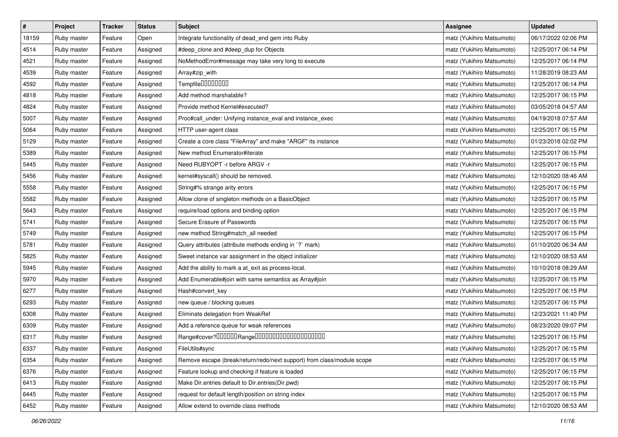| $\vert$ # | Project     | <b>Tracker</b> | <b>Status</b> | <b>Subject</b>                                                         | <b>Assignee</b>           | <b>Updated</b>      |
|-----------|-------------|----------------|---------------|------------------------------------------------------------------------|---------------------------|---------------------|
| 18159     | Ruby master | Feature        | Open          | Integrate functionality of dead_end gem into Ruby                      | matz (Yukihiro Matsumoto) | 06/17/2022 02:06 PM |
| 4514      | Ruby master | Feature        | Assigned      | #deep_clone and #deep_dup for Objects                                  | matz (Yukihiro Matsumoto) | 12/25/2017 06:14 PM |
| 4521      | Ruby master | Feature        | Assigned      | NoMethodError#message may take very long to execute                    | matz (Yukihiro Matsumoto) | 12/25/2017 06:14 PM |
| 4539      | Ruby master | Feature        | Assigned      | Array#zip_with                                                         | matz (Yukihiro Matsumoto) | 11/28/2019 08:23 AM |
| 4592      | Ruby master | Feature        | Assigned      | Tempfile0000000                                                        | matz (Yukihiro Matsumoto) | 12/25/2017 06:14 PM |
| 4818      | Ruby master | Feature        | Assigned      | Add method marshalable?                                                | matz (Yukihiro Matsumoto) | 12/25/2017 06:15 PM |
| 4824      | Ruby master | Feature        | Assigned      | Provide method Kernel#executed?                                        | matz (Yukihiro Matsumoto) | 03/05/2018 04:57 AM |
| 5007      | Ruby master | Feature        | Assigned      | Proc#call_under: Unifying instance_eval and instance_exec              | matz (Yukihiro Matsumoto) | 04/19/2018 07:57 AM |
| 5064      | Ruby master | Feature        | Assigned      | HTTP user-agent class                                                  | matz (Yukihiro Matsumoto) | 12/25/2017 06:15 PM |
| 5129      | Ruby master | Feature        | Assigned      | Create a core class "FileArray" and make "ARGF" its instance           | matz (Yukihiro Matsumoto) | 01/23/2018 02:02 PM |
| 5389      | Ruby master | Feature        | Assigned      | New method Enumerator#iterate                                          | matz (Yukihiro Matsumoto) | 12/25/2017 06:15 PM |
| 5445      | Ruby master | Feature        | Assigned      | Need RUBYOPT -r before ARGV -r                                         | matz (Yukihiro Matsumoto) | 12/25/2017 06:15 PM |
| 5456      | Ruby master | Feature        | Assigned      | kernel#syscall() should be removed.                                    | matz (Yukihiro Matsumoto) | 12/10/2020 08:46 AM |
| 5558      | Ruby master | Feature        | Assigned      | String#% strange arity errors                                          | matz (Yukihiro Matsumoto) | 12/25/2017 06:15 PM |
| 5582      | Ruby master | Feature        | Assigned      | Allow clone of singleton methods on a BasicObject                      | matz (Yukihiro Matsumoto) | 12/25/2017 06:15 PM |
| 5643      | Ruby master | Feature        | Assigned      | require/load options and binding option                                | matz (Yukihiro Matsumoto) | 12/25/2017 06:15 PM |
| 5741      | Ruby master | Feature        | Assigned      | Secure Erasure of Passwords                                            | matz (Yukihiro Matsumoto) | 12/25/2017 06:15 PM |
| 5749      | Ruby master | Feature        | Assigned      | new method String#match_all needed                                     | matz (Yukihiro Matsumoto) | 12/25/2017 06:15 PM |
| 5781      | Ruby master | Feature        | Assigned      | Query attributes (attribute methods ending in `?` mark)                | matz (Yukihiro Matsumoto) | 01/10/2020 06:34 AM |
| 5825      | Ruby master | Feature        | Assigned      | Sweet instance var assignment in the object initializer                | matz (Yukihiro Matsumoto) | 12/10/2020 08:53 AM |
| 5945      | Ruby master | Feature        | Assigned      | Add the ability to mark a at_exit as process-local.                    | matz (Yukihiro Matsumoto) | 10/10/2018 08:29 AM |
| 5970      | Ruby master | Feature        | Assigned      | Add Enumerable#join with same semantics as Array#join                  | matz (Yukihiro Matsumoto) | 12/25/2017 06:15 PM |
| 6277      | Ruby master | Feature        | Assigned      | Hash#convert_key                                                       | matz (Yukihiro Matsumoto) | 12/25/2017 06:15 PM |
| 6293      | Ruby master | Feature        | Assigned      | new queue / blocking queues                                            | matz (Yukihiro Matsumoto) | 12/25/2017 06:15 PM |
| 6308      | Ruby master | Feature        | Assigned      | Eliminate delegation from WeakRef                                      | matz (Yukihiro Matsumoto) | 12/23/2021 11:40 PM |
| 6309      | Ruby master | Feature        | Assigned      | Add a reference queue for weak references                              | matz (Yukihiro Matsumoto) | 08/23/2020 09:07 PM |
| 6317      | Ruby master | Feature        | Assigned      | Range#cover?000000Range00000000000000000000                            | matz (Yukihiro Matsumoto) | 12/25/2017 06:15 PM |
| 6337      | Ruby master | Feature        | Assigned      | FileUtils#sync                                                         | matz (Yukihiro Matsumoto) | 12/25/2017 06:15 PM |
| 6354      | Ruby master | Feature        | Assigned      | Remove escape (break/return/redo/next support) from class/module scope | matz (Yukihiro Matsumoto) | 12/25/2017 06:15 PM |
| 6376      | Ruby master | Feature        | Assigned      | Feature lookup and checking if feature is loaded                       | matz (Yukihiro Matsumoto) | 12/25/2017 06:15 PM |
| 6413      | Ruby master | Feature        | Assigned      | Make Dir.entries default to Dir.entries(Dir.pwd)                       | matz (Yukihiro Matsumoto) | 12/25/2017 06:15 PM |
| 6445      | Ruby master | Feature        | Assigned      | request for default length/position on string index                    | matz (Yukihiro Matsumoto) | 12/25/2017 06:15 PM |
| 6452      | Ruby master | Feature        | Assigned      | Allow extend to override class methods                                 | matz (Yukihiro Matsumoto) | 12/10/2020 08:53 AM |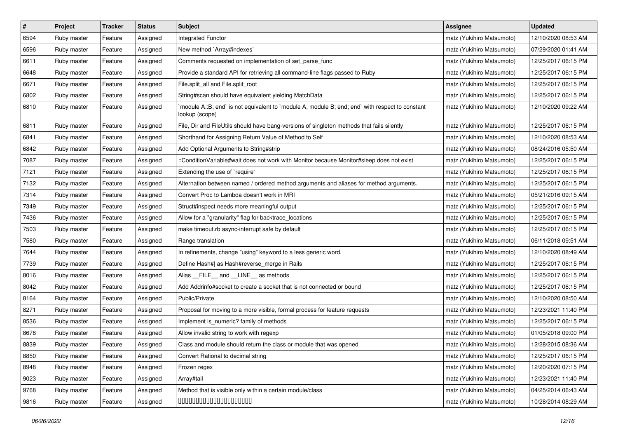| $\pmb{\#}$ | Project     | <b>Tracker</b> | <b>Status</b> | Subject                                                                                                          | <b>Assignee</b>           | <b>Updated</b>      |
|------------|-------------|----------------|---------------|------------------------------------------------------------------------------------------------------------------|---------------------------|---------------------|
| 6594       | Ruby master | Feature        | Assigned      | Integrated Functor                                                                                               | matz (Yukihiro Matsumoto) | 12/10/2020 08:53 AM |
| 6596       | Ruby master | Feature        | Assigned      | New method `Array#indexes`                                                                                       | matz (Yukihiro Matsumoto) | 07/29/2020 01:41 AM |
| 6611       | Ruby master | Feature        | Assigned      | Comments requested on implementation of set parse func                                                           | matz (Yukihiro Matsumoto) | 12/25/2017 06:15 PM |
| 6648       | Ruby master | Feature        | Assigned      | Provide a standard API for retrieving all command-line flags passed to Ruby                                      | matz (Yukihiro Matsumoto) | 12/25/2017 06:15 PM |
| 6671       | Ruby master | Feature        | Assigned      | File.split_all and File.split_root                                                                               | matz (Yukihiro Matsumoto) | 12/25/2017 06:15 PM |
| 6802       | Ruby master | Feature        | Assigned      | String#scan should have equivalent yielding MatchData                                                            | matz (Yukihiro Matsumoto) | 12/25/2017 06:15 PM |
| 6810       | Ruby master | Feature        | Assigned      | module A::B; end` is not equivalent to `module A; module B; end; end` with respect to constant<br>lookup (scope) | matz (Yukihiro Matsumoto) | 12/10/2020 09:22 AM |
| 6811       | Ruby master | Feature        | Assigned      | File, Dir and FileUtils should have bang-versions of singleton methods that fails silently                       | matz (Yukihiro Matsumoto) | 12/25/2017 06:15 PM |
| 6841       | Ruby master | Feature        | Assigned      | Shorthand for Assigning Return Value of Method to Self                                                           | matz (Yukihiro Matsumoto) | 12/10/2020 08:53 AM |
| 6842       | Ruby master | Feature        | Assigned      | Add Optional Arguments to String#strip                                                                           | matz (Yukihiro Matsumoto) | 08/24/2016 05:50 AM |
| 7087       | Ruby master | Feature        | Assigned      | ::ConditionVariable#wait does not work with Monitor because Monitor#sleep does not exist                         | matz (Yukihiro Matsumoto) | 12/25/2017 06:15 PM |
| 7121       | Ruby master | Feature        | Assigned      | Extending the use of `require'                                                                                   | matz (Yukihiro Matsumoto) | 12/25/2017 06:15 PM |
| 7132       | Ruby master | Feature        | Assigned      | Alternation between named / ordered method arguments and aliases for method arguments.                           | matz (Yukihiro Matsumoto) | 12/25/2017 06:15 PM |
| 7314       | Ruby master | Feature        | Assigned      | Convert Proc to Lambda doesn't work in MRI                                                                       | matz (Yukihiro Matsumoto) | 05/21/2016 09:15 AM |
| 7349       | Ruby master | Feature        | Assigned      | Struct#inspect needs more meaningful output                                                                      | matz (Yukihiro Matsumoto) | 12/25/2017 06:15 PM |
| 7436       | Ruby master | Feature        | Assigned      | Allow for a "granularity" flag for backtrace_locations                                                           | matz (Yukihiro Matsumoto) | 12/25/2017 06:15 PM |
| 7503       | Ruby master | Feature        | Assigned      | make timeout.rb async-interrupt safe by default                                                                  | matz (Yukihiro Matsumoto) | 12/25/2017 06:15 PM |
| 7580       | Ruby master | Feature        | Assigned      | Range translation                                                                                                | matz (Yukihiro Matsumoto) | 06/11/2018 09:51 AM |
| 7644       | Ruby master | Feature        | Assigned      | In refinements, change "using" keyword to a less generic word.                                                   | matz (Yukihiro Matsumoto) | 12/10/2020 08:49 AM |
| 7739       | Ruby master | Feature        | Assigned      | Define Hash#  as Hash#reverse_merge in Rails                                                                     | matz (Yukihiro Matsumoto) | 12/25/2017 06:15 PM |
| 8016       | Ruby master | Feature        | Assigned      | Alias FILE and LINE as methods                                                                                   | matz (Yukihiro Matsumoto) | 12/25/2017 06:15 PM |
| 8042       | Ruby master | Feature        | Assigned      | Add Addrinfo#socket to create a socket that is not connected or bound                                            | matz (Yukihiro Matsumoto) | 12/25/2017 06:15 PM |
| 8164       | Ruby master | Feature        | Assigned      | Public/Private                                                                                                   | matz (Yukihiro Matsumoto) | 12/10/2020 08:50 AM |
| 8271       | Ruby master | Feature        | Assigned      | Proposal for moving to a more visible, formal process for feature requests                                       | matz (Yukihiro Matsumoto) | 12/23/2021 11:40 PM |
| 8536       | Ruby master | Feature        | Assigned      | Implement is_numeric? family of methods                                                                          | matz (Yukihiro Matsumoto) | 12/25/2017 06:15 PM |
| 8678       | Ruby master | Feature        | Assigned      | Allow invalid string to work with regexp                                                                         | matz (Yukihiro Matsumoto) | 01/05/2018 09:00 PM |
| 8839       | Ruby master | Feature        | Assigned      | Class and module should return the class or module that was opened                                               | matz (Yukihiro Matsumoto) | 12/28/2015 08:36 AM |
| 8850       | Ruby master | Feature        | Assigned      | Convert Rational to decimal string                                                                               | matz (Yukihiro Matsumoto) | 12/25/2017 06:15 PM |
| 8948       | Ruby master | Feature        | Assigned      | Frozen regex                                                                                                     | matz (Yukihiro Matsumoto) | 12/20/2020 07:15 PM |
| 9023       | Ruby master | Feature        | Assigned      | Array#tail                                                                                                       | matz (Yukihiro Matsumoto) | 12/23/2021 11:40 PM |
| 9768       | Ruby master | Feature        | Assigned      | Method that is visible only within a certain module/class                                                        | matz (Yukihiro Matsumoto) | 04/25/2014 06:43 AM |
| 9816       | Ruby master | Feature        | Assigned      | 00000000000000000000                                                                                             | matz (Yukihiro Matsumoto) | 10/28/2014 08:29 AM |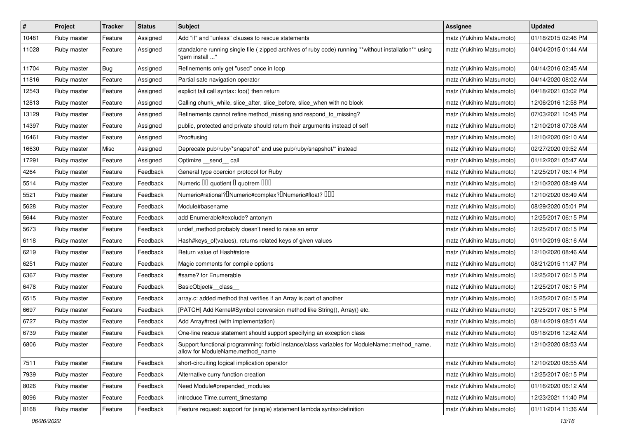| $\vert$ # | Project     | <b>Tracker</b> | <b>Status</b> | <b>Subject</b>                                                                                                                   | <b>Assignee</b>           | <b>Updated</b>      |
|-----------|-------------|----------------|---------------|----------------------------------------------------------------------------------------------------------------------------------|---------------------------|---------------------|
| 10481     | Ruby master | Feature        | Assigned      | Add "if" and "unless" clauses to rescue statements                                                                               | matz (Yukihiro Matsumoto) | 01/18/2015 02:46 PM |
| 11028     | Ruby master | Feature        | Assigned      | standalone running single file ( zipped archives of ruby code) running **without installation** using<br>" 'aem install'         | matz (Yukihiro Matsumoto) | 04/04/2015 01:44 AM |
| 11704     | Ruby master | <b>Bug</b>     | Assigned      | Refinements only get "used" once in loop                                                                                         | matz (Yukihiro Matsumoto) | 04/14/2016 02:45 AM |
| 11816     | Ruby master | Feature        | Assigned      | Partial safe navigation operator                                                                                                 | matz (Yukihiro Matsumoto) | 04/14/2020 08:02 AM |
| 12543     | Ruby master | Feature        | Assigned      | explicit tail call syntax: foo() then return                                                                                     | matz (Yukihiro Matsumoto) | 04/18/2021 03:02 PM |
| 12813     | Ruby master | Feature        | Assigned      | Calling chunk_while, slice_after, slice_before, slice_when with no block                                                         | matz (Yukihiro Matsumoto) | 12/06/2016 12:58 PM |
| 13129     | Ruby master | Feature        | Assigned      | Refinements cannot refine method_missing and respond_to_missing?                                                                 | matz (Yukihiro Matsumoto) | 07/03/2021 10:45 PM |
| 14397     | Ruby master | Feature        | Assigned      | public, protected and private should return their arguments instead of self                                                      | matz (Yukihiro Matsumoto) | 12/10/2018 07:08 AM |
| 16461     | Ruby master | Feature        | Assigned      | Proc#using                                                                                                                       | matz (Yukihiro Matsumoto) | 12/10/2020 09:10 AM |
| 16630     | Ruby master | Misc           | Assigned      | Deprecate pub/ruby/*snapshot* and use pub/ruby/snapshot/* instead                                                                | matz (Yukihiro Matsumoto) | 02/27/2020 09:52 AM |
| 17291     | Ruby master | Feature        | Assigned      | Optimize __send__ call                                                                                                           | matz (Yukihiro Matsumoto) | 01/12/2021 05:47 AM |
| 4264      | Ruby master | Feature        | Feedback      | General type coercion protocol for Ruby                                                                                          | matz (Yukihiro Matsumoto) | 12/25/2017 06:14 PM |
| 5514      | Ruby master | Feature        | Feedback      | Numeric OO quotient D quotrem OOO                                                                                                | matz (Yukihiro Matsumoto) | 12/10/2020 08:49 AM |
| 5521      | Ruby master | Feature        | Feedback      | Numeric#rational? <sup>[]</sup> Numeric#complex? <sup>[]</sup> Numeric#float? <sup>[10]</sup>                                    | matz (Yukihiro Matsumoto) | 12/10/2020 08:49 AM |
| 5628      | Ruby master | Feature        | Feedback      | Module#basename                                                                                                                  | matz (Yukihiro Matsumoto) | 08/29/2020 05:01 PM |
| 5644      | Ruby master | Feature        | Feedback      | add Enumerable#exclude? antonym                                                                                                  | matz (Yukihiro Matsumoto) | 12/25/2017 06:15 PM |
| 5673      | Ruby master | Feature        | Feedback      | undef_method probably doesn't need to raise an error                                                                             | matz (Yukihiro Matsumoto) | 12/25/2017 06:15 PM |
| 6118      | Ruby master | Feature        | Feedback      | Hash#keys_of(values), returns related keys of given values                                                                       | matz (Yukihiro Matsumoto) | 01/10/2019 08:16 AM |
| 6219      | Ruby master | Feature        | Feedback      | Return value of Hash#store                                                                                                       | matz (Yukihiro Matsumoto) | 12/10/2020 08:46 AM |
| 6251      | Ruby master | Feature        | Feedback      | Magic comments for compile options                                                                                               | matz (Yukihiro Matsumoto) | 08/21/2015 11:47 PM |
| 6367      | Ruby master | Feature        | Feedback      | #same? for Enumerable                                                                                                            | matz (Yukihiro Matsumoto) | 12/25/2017 06:15 PM |
| 6478      | Ruby master | Feature        | Feedback      | BasicObject#_class_                                                                                                              | matz (Yukihiro Matsumoto) | 12/25/2017 06:15 PM |
| 6515      | Ruby master | Feature        | Feedback      | array.c: added method that verifies if an Array is part of another                                                               | matz (Yukihiro Matsumoto) | 12/25/2017 06:15 PM |
| 6697      | Ruby master | Feature        | Feedback      | [PATCH] Add Kernel#Symbol conversion method like String(), Array() etc.                                                          | matz (Yukihiro Matsumoto) | 12/25/2017 06:15 PM |
| 6727      | Ruby master | Feature        | Feedback      | Add Array#rest (with implementation)                                                                                             | matz (Yukihiro Matsumoto) | 08/14/2019 08:51 AM |
| 6739      | Ruby master | Feature        | Feedback      | One-line rescue statement should support specifying an exception class                                                           | matz (Yukihiro Matsumoto) | 05/18/2016 12:42 AM |
| 6806      | Ruby master | Feature        | Feedback      | Support functional programming: forbid instance/class variables for ModuleName::method_name,<br>allow for ModuleName.method_name | matz (Yukihiro Matsumoto) | 12/10/2020 08:53 AM |
| 7511      | Ruby master | Feature        | Feedback      | short-circuiting logical implication operator                                                                                    | matz (Yukihiro Matsumoto) | 12/10/2020 08:55 AM |
| 7939      | Ruby master | Feature        | Feedback      | Alternative curry function creation                                                                                              | matz (Yukihiro Matsumoto) | 12/25/2017 06:15 PM |
| 8026      | Ruby master | Feature        | Feedback      | Need Module#prepended_modules                                                                                                    | matz (Yukihiro Matsumoto) | 01/16/2020 06:12 AM |
| 8096      | Ruby master | Feature        | Feedback      | introduce Time.current_timestamp                                                                                                 | matz (Yukihiro Matsumoto) | 12/23/2021 11:40 PM |
| 8168      | Ruby master | Feature        | Feedback      | Feature request: support for (single) statement lambda syntax/definition                                                         | matz (Yukihiro Matsumoto) | 01/11/2014 11:36 AM |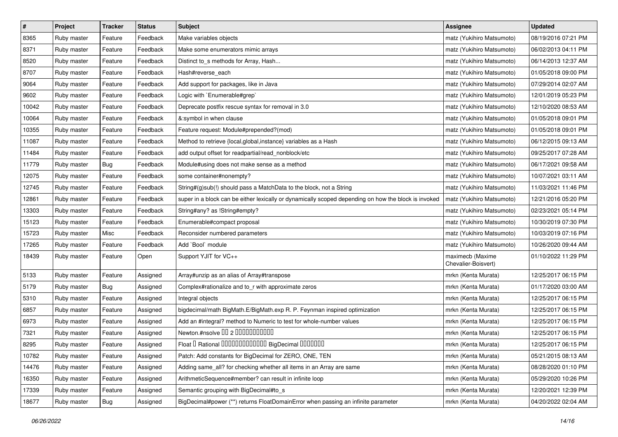| $\sharp$ | Project     | <b>Tracker</b> | <b>Status</b> | <b>Subject</b>                                                                                       | <b>Assignee</b>                         | <b>Updated</b>      |
|----------|-------------|----------------|---------------|------------------------------------------------------------------------------------------------------|-----------------------------------------|---------------------|
| 8365     | Ruby master | Feature        | Feedback      | Make variables objects                                                                               | matz (Yukihiro Matsumoto)               | 08/19/2016 07:21 PM |
| 8371     | Ruby master | Feature        | Feedback      | Make some enumerators mimic arrays                                                                   | matz (Yukihiro Matsumoto)               | 06/02/2013 04:11 PM |
| 8520     | Ruby master | Feature        | Feedback      | Distinct to_s methods for Array, Hash                                                                | matz (Yukihiro Matsumoto)               | 06/14/2013 12:37 AM |
| 8707     | Ruby master | Feature        | Feedback      | Hash#reverse_each                                                                                    | matz (Yukihiro Matsumoto)               | 01/05/2018 09:00 PM |
| 9064     | Ruby master | Feature        | Feedback      | Add support for packages, like in Java                                                               | matz (Yukihiro Matsumoto)               | 07/29/2014 02:07 AM |
| 9602     | Ruby master | Feature        | Feedback      | Logic with `Enumerable#grep`                                                                         | matz (Yukihiro Matsumoto)               | 12/01/2019 05:23 PM |
| 10042    | Ruby master | Feature        | Feedback      | Deprecate postfix rescue syntax for removal in 3.0                                                   | matz (Yukihiro Matsumoto)               | 12/10/2020 08:53 AM |
| 10064    | Ruby master | Feature        | Feedback      | &:symbol in when clause                                                                              | matz (Yukihiro Matsumoto)               | 01/05/2018 09:01 PM |
| 10355    | Ruby master | Feature        | Feedback      | Feature request: Module#prepended?(mod)                                                              | matz (Yukihiro Matsumoto)               | 01/05/2018 09:01 PM |
| 11087    | Ruby master | Feature        | Feedback      | Method to retrieve {local, global, instance} variables as a Hash                                     | matz (Yukihiro Matsumoto)               | 06/12/2015 09:13 AM |
| 11484    | Ruby master | Feature        | Feedback      | add output offset for readpartial/read_nonblock/etc                                                  | matz (Yukihiro Matsumoto)               | 09/25/2017 07:28 AM |
| 11779    | Ruby master | <b>Bug</b>     | Feedback      | Module#using does not make sense as a method                                                         | matz (Yukihiro Matsumoto)               | 06/17/2021 09:58 AM |
| 12075    | Ruby master | Feature        | Feedback      | some container#nonempty?                                                                             | matz (Yukihiro Matsumoto)               | 10/07/2021 03:11 AM |
| 12745    | Ruby master | Feature        | Feedback      | String#(g)sub(!) should pass a MatchData to the block, not a String                                  | matz (Yukihiro Matsumoto)               | 11/03/2021 11:46 PM |
| 12861    | Ruby master | Feature        | Feedback      | super in a block can be either lexically or dynamically scoped depending on how the block is invoked | matz (Yukihiro Matsumoto)               | 12/21/2016 05:20 PM |
| 13303    | Ruby master | Feature        | Feedback      | String#any? as !String#empty?                                                                        | matz (Yukihiro Matsumoto)               | 02/23/2021 05:14 PM |
| 15123    | Ruby master | Feature        | Feedback      | Enumerable#compact proposal                                                                          | matz (Yukihiro Matsumoto)               | 10/30/2019 07:30 PM |
| 15723    | Ruby master | Misc           | Feedback      | Reconsider numbered parameters                                                                       | matz (Yukihiro Matsumoto)               | 10/03/2019 07:16 PM |
| 17265    | Ruby master | Feature        | Feedback      | Add `Bool` module                                                                                    | matz (Yukihiro Matsumoto)               | 10/26/2020 09:44 AM |
| 18439    | Ruby master | Feature        | Open          | Support YJIT for VC++                                                                                | maximecb (Maxime<br>Chevalier-Boisvert) | 01/10/2022 11:29 PM |
| 5133     | Ruby master | Feature        | Assigned      | Array#unzip as an alias of Array#transpose                                                           | mrkn (Kenta Murata)                     | 12/25/2017 06:15 PM |
| 5179     | Ruby master | <b>Bug</b>     | Assigned      | Complex#rationalize and to_r with approximate zeros                                                  | mrkn (Kenta Murata)                     | 01/17/2020 03:00 AM |
| 5310     | Ruby master | Feature        | Assigned      | Integral objects                                                                                     | mrkn (Kenta Murata)                     | 12/25/2017 06:15 PM |
| 6857     | Ruby master | Feature        | Assigned      | bigdecimal/math BigMath.E/BigMath.exp R. P. Feynman inspired optimization                            | mrkn (Kenta Murata)                     | 12/25/2017 06:15 PM |
| 6973     | Ruby master | Feature        | Assigned      | Add an #integral? method to Numeric to test for whole-number values                                  | mrkn (Kenta Murata)                     | 12/25/2017 06:15 PM |
| 7321     | Ruby master | Feature        | Assigned      | Newton.#nsolve 00 2 0000000000                                                                       | mrkn (Kenta Murata)                     | 12/25/2017 06:15 PM |
| 8295     | Ruby master | Feature        | Assigned      | Float I Rational 0000000000000 BigDecimal 0000000                                                    | mrkn (Kenta Murata)                     | 12/25/2017 06:15 PM |
| 10782    | Ruby master | Feature        | Assigned      | Patch: Add constants for BigDecimal for ZERO, ONE, TEN                                               | mrkn (Kenta Murata)                     | 05/21/2015 08:13 AM |
| 14476    | Ruby master | Feature        | Assigned      | Adding same_all? for checking whether all items in an Array are same                                 | mrkn (Kenta Murata)                     | 08/28/2020 01:10 PM |
| 16350    | Ruby master | Feature        | Assigned      | ArithmeticSequence#member? can result in infinite loop                                               | mrkn (Kenta Murata)                     | 05/29/2020 10:26 PM |
| 17339    | Ruby master | Feature        | Assigned      | Semantic grouping with BigDecimal#to_s                                                               | mrkn (Kenta Murata)                     | 12/20/2021 12:39 PM |
| 18677    | Ruby master | <b>Bug</b>     | Assigned      | BigDecimal#power (**) returns FloatDomainError when passing an infinite parameter                    | mrkn (Kenta Murata)                     | 04/20/2022 02:04 AM |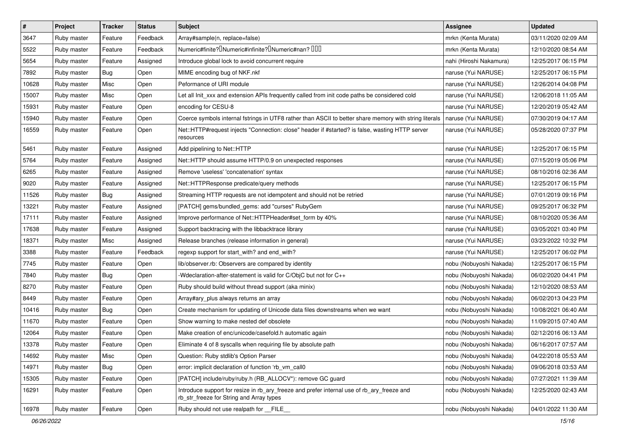| $\#$  | Project     | <b>Tracker</b> | <b>Status</b> | Subject                                                                                                                                | <b>Assignee</b>         | <b>Updated</b>      |
|-------|-------------|----------------|---------------|----------------------------------------------------------------------------------------------------------------------------------------|-------------------------|---------------------|
| 3647  | Ruby master | Feature        | Feedback      | Array#sample(n, replace=false)                                                                                                         | mrkn (Kenta Murata)     | 03/11/2020 02:09 AM |
| 5522  | Ruby master | Feature        | Feedback      | Numeric#finite? <sup>[]</sup> Numeric#infinite? <sup>[]</sup> Numeric#nan? <sup>[10]</sup>                                             | mrkn (Kenta Murata)     | 12/10/2020 08:54 AM |
| 5654  | Ruby master | Feature        | Assigned      | Introduce global lock to avoid concurrent require                                                                                      | nahi (Hiroshi Nakamura) | 12/25/2017 06:15 PM |
| 7892  | Ruby master | <b>Bug</b>     | Open          | MIME encoding bug of NKF.nkf                                                                                                           | naruse (Yui NARUSE)     | 12/25/2017 06:15 PM |
| 10628 | Ruby master | Misc           | Open          | Peformance of URI module                                                                                                               | naruse (Yui NARUSE)     | 12/26/2014 04:08 PM |
| 15007 | Ruby master | Misc           | Open          | Let all Init_xxx and extension APIs frequently called from init code paths be considered cold                                          | naruse (Yui NARUSE)     | 12/06/2018 11:05 AM |
| 15931 | Ruby master | Feature        | Open          | encoding for CESU-8                                                                                                                    | naruse (Yui NARUSE)     | 12/20/2019 05:42 AM |
| 15940 | Ruby master | Feature        | Open          | Coerce symbols internal fstrings in UTF8 rather than ASCII to better share memory with string literals                                 | naruse (Yui NARUSE)     | 07/30/2019 04:17 AM |
| 16559 | Ruby master | Feature        | Open          | Net::HTTP#request injects "Connection: close" header if #started? is false, wasting HTTP server<br>resources                           | naruse (Yui NARUSE)     | 05/28/2020 07:37 PM |
| 5461  | Ruby master | Feature        | Assigned      | Add pipelining to Net::HTTP                                                                                                            | naruse (Yui NARUSE)     | 12/25/2017 06:15 PM |
| 5764  | Ruby master | Feature        | Assigned      | Net::HTTP should assume HTTP/0.9 on unexpected responses                                                                               | naruse (Yui NARUSE)     | 07/15/2019 05:06 PM |
| 6265  | Ruby master | Feature        | Assigned      | Remove 'useless' 'concatenation' syntax                                                                                                | naruse (Yui NARUSE)     | 08/10/2016 02:36 AM |
| 9020  | Ruby master | Feature        | Assigned      | Net::HTTPResponse predicate/query methods                                                                                              | naruse (Yui NARUSE)     | 12/25/2017 06:15 PM |
| 11526 | Ruby master | <b>Bug</b>     | Assigned      | Streaming HTTP requests are not idempotent and should not be retried                                                                   | naruse (Yui NARUSE)     | 07/01/2019 09:16 PM |
| 13221 | Ruby master | Feature        | Assigned      | [PATCH] gems/bundled_gems: add "curses" RubyGem                                                                                        | naruse (Yui NARUSE)     | 09/25/2017 06:32 PM |
| 17111 | Ruby master | Feature        | Assigned      | Improve performance of Net::HTTPHeader#set_form by 40%                                                                                 | naruse (Yui NARUSE)     | 08/10/2020 05:36 AM |
| 17638 | Ruby master | Feature        | Assigned      | Support backtracing with the libbacktrace library                                                                                      | naruse (Yui NARUSE)     | 03/05/2021 03:40 PM |
| 18371 | Ruby master | Misc           | Assigned      | Release branches (release information in general)                                                                                      | naruse (Yui NARUSE)     | 03/23/2022 10:32 PM |
| 3388  | Ruby master | Feature        | Feedback      | regexp support for start_with? and end_with?                                                                                           | naruse (Yui NARUSE)     | 12/25/2017 06:02 PM |
| 7745  | Ruby master | Feature        | Open          | lib/observer.rb: Observers are compared by identity                                                                                    | nobu (Nobuyoshi Nakada) | 12/25/2017 06:15 PM |
| 7840  | Ruby master | <b>Bug</b>     | Open          | Wdeclaration-after-statement is valid for C/ObjC but not for C++                                                                       | nobu (Nobuyoshi Nakada) | 06/02/2020 04:41 PM |
| 8270  | Ruby master | Feature        | Open          | Ruby should build without thread support (aka minix)                                                                                   | nobu (Nobuyoshi Nakada) | 12/10/2020 08:53 AM |
| 8449  | Ruby master | Feature        | Open          | Array#ary_plus always returns an array                                                                                                 | nobu (Nobuyoshi Nakada) | 06/02/2013 04:23 PM |
| 10416 | Ruby master | <b>Bug</b>     | Open          | Create mechanism for updating of Unicode data files downstreams when we want                                                           | nobu (Nobuyoshi Nakada) | 10/08/2021 06:40 AM |
| 11670 | Ruby master | Feature        | Open          | Show warning to make nested def obsolete                                                                                               | nobu (Nobuyoshi Nakada) | 11/09/2015 07:40 AM |
| 12064 | Ruby master | Feature        | Open          | Make creation of enc/unicode/casefold.h automatic again                                                                                | nobu (Nobuyoshi Nakada) | 02/12/2016 06:13 AM |
| 13378 | Ruby master | Feature        | Open          | Eliminate 4 of 8 syscalls when requiring file by absolute path                                                                         | nobu (Nobuyoshi Nakada) | 06/16/2017 07:57 AM |
| 14692 | Ruby master | Misc           | Open          | Question: Ruby stdlib's Option Parser                                                                                                  | nobu (Nobuyoshi Nakada) | 04/22/2018 05:53 AM |
| 14971 | Ruby master | <b>Bug</b>     | Open          | error: implicit declaration of function 'rb_vm_call0                                                                                   | nobu (Nobuyoshi Nakada) | 09/06/2018 03:53 AM |
| 15305 | Ruby master | Feature        | Open          | [PATCH] include/ruby/ruby.h (RB_ALLOCV*): remove GC guard                                                                              | nobu (Nobuyoshi Nakada) | 07/27/2021 11:39 AM |
| 16291 | Ruby master | Feature        | Open          | Introduce support for resize in rb_ary_freeze and prefer internal use of rb_ary_freeze and<br>rb_str_freeze for String and Array types | nobu (Nobuyoshi Nakada) | 12/25/2020 02:43 AM |
| 16978 | Ruby master | Feature        | Open          | Ruby should not use realpath for FILE                                                                                                  | nobu (Nobuyoshi Nakada) | 04/01/2022 11:30 AM |